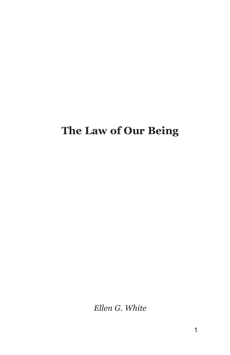# The Law of Our Being

Ellen G. White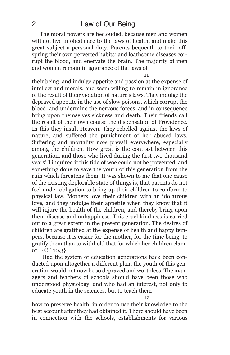The moral powers are beclouded, because men and women will not live in obedience to the laws of health, and make this great subject a personal duty. Parents bequeath to their offspring their own perverted habits; and loathsome diseases corrupt the blood, and enervate the brain. The majority of men and women remain in ignorance of the laws of

11

their being, and indulge appetite and passion at the expense of intellect and morals, and seem willing to remain in ignorance of the result of their violation of nature's laws. They indulge the depraved appetite in the use of slow poisons, which corrupt the blood, and undermine the nervous forces, and in consequence bring upon themselves sickness and death. Their friends call the result of their own course the dispensation of Providence. In this they insult Heaven. They rebelled against the laws of nature, and suffered the punishment of her abused laws. Suffering and mortality now prevail everywhere, especially among the children. How great is the contrast between this generation, and those who lived during the first two thousand years! I inquired if this tide of woe could not be prevented, and something done to save the youth of this generation from the ruin which threatens them. It was shown to me that one cause of the existing deplorable state of things is, that parents do not feel under obligation to bring up their children to conform to physical law. Mothers love their children with an idolatrous love, and they indulge their appetite when they know that it will injure the health of the children, and thereby bring upon them disease and unhappiness. This cruel kindness is carried out to a great extent in the present generation. The desires of children are gratified at the expense of health and happy tempers, because it is easier for the mother, for the time being, to gratify them than to withhold that for which her children clamor. {CE 10.3}

Had the system of education generations back been conducted upon altogether a different plan, the youth of this generation would not now be so depraved and worthless. The managers and teachers of schools should have been those who understood physiology, and who had an interest, not only to educate youth in the sciences, but to teach them

12

how to preserve health, in order to use their knowledge to the best account after they had obtained it. There should have been in connection with the schools, establishments for various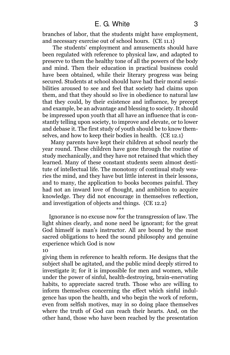# E. G. White 3

branches of labor, that the students might have employment, and necessary exercise out of school hours. {CE 11.1}

The students' employment and amusements should have been regulated with reference to physical law, and adapted to preserve to them the healthy tone of all the powers of the body and mind. Then their education in practical business could have been obtained, while their literary progress was being secured. Students at school should have had their moral sensibilities aroused to see and feel that society had claims upon them, and that they should so live in obedience to natural law that they could, by their existence and influence, by precept and example, be an advantage and blessing to society. It should be impressed upon youth that all have an influence that is constantly telling upon society, to improve and elevate, or to lower and debase it. The first study of youth should be to know themselves, and how to keep their bodies in health. {CE 12.1}

Many parents have kept their children at school nearly the year round. These children have gone through the routine of study mechanically, and they have not retained that which they learned. Many of these constant students seem almost destitute of intellectual life. The monotony of continual study wearies the mind, and they have but little interest in their lessons, and to many, the application to books becomes painful. They had not an inward love of thought, and ambition to acquire knowledge. They did not encourage in themselves reflection, and investigation of objects and things. {CE 12.2}

\*\*\*

Ignorance is no excuse now for the transgression of law. The light shines clearly, and none need be ignorant; for the great God himself is man's instructor. All are bound by the most sacred obligations to heed the sound philosophy and genuine experience which God is now

#### 10

giving them in reference to health reform. He designs that the subject shall be agitated, and the public mind deeply stirred to investigate it; for it is impossible for men and women, while under the power of sinful, health-destroying, brain-enervating habits, to appreciate sacred truth. Those who are willing to inform themselves concerning the effect which sinful indulgence has upon the health, and who begin the work of reform, even from selfish motives, may in so doing place themselves where the truth of God can reach their hearts. And, on the other hand, those who have been reached by the presentation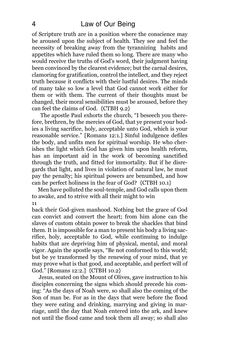of Scripture truth are in a position where the conscience may be aroused upon the subject of health. They see and feel the necessity of breaking away from the tyrannizing habits and appetites which have ruled them so long. There are many who would receive the truths of God's word, their judgment having been convinced by the clearest evidence; but the carnal desires, clamoring for gratification, control the intellect, and they reject truth because it conflicts with their lustful desires. The minds of many take so low a level that God cannot work either for them or with them. The current of their thoughts must be changed, their moral sensibilities must be aroused, before they can feel the claims of God. {CTBH 9.2}

The apostle Paul exhorts the church, "I beseech you therefore, brethren, by the mercies of God, that ye present your bodies a living sacrifice, holy, acceptable unto God, which is your reasonable service." [Romans 12:1.] Sinful indulgence defiles the body, and unfits men for spiritual worship. He who cherishes the light which God has given him upon health reform, has an important aid in the work of becoming sanctified through the truth, and fitted for immortality. But if he disregards that light, and lives in violation of natural law, he must pay the penalty; his spiritual powers are benumbed, and how can he perfect holiness in the fear of God? {CTBH 10.1}

Men have polluted the soul-temple, and God calls upon them to awake, and to strive with all their might to win 11

back their God-given manhood. Nothing but the grace of God can convict and convert the heart; from him alone can the slaves of custom obtain power to break the shackles that bind them. It is impossible for a man to present his body a living sacrifice, holy, acceptable to God, while continuing to indulge habits that are depriving him of physical, mental, and moral vigor. Again the apostle says, "Be not conformed to this world; but be ye transformed by the renewing of your mind, that ye may prove what is that good, and acceptable, and perfect will of God." [Romans 12:2.] {CTBH 10.2}

Jesus, seated on the Mount of Olives, gave instruction to his disciples concerning the signs which should precede his coming: "As the days of Noah were, so shall also the coming of the Son of man be. For as in the days that were before the flood they were eating and drinking, marrying and giving in marriage, until the day that Noah entered into the ark, and knew not until the flood came and took them all away; so shall also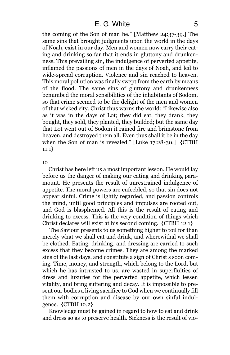the coming of the Son of man be." [Matthew 24:37-39.] The same sins that brought judgments upon the world in the days of Noah, exist in our day. Men and women now carry their eating and drinking so far that it ends in gluttony and drunkenness. This prevailing sin, the indulgence of perverted appetite, inflamed the passions of men in the days of Noah, and led to wide-spread corruption. Violence and sin reached to heaven. This moral pollution was finally swept from the earth by means of the flood. The same sins of gluttony and drunkenness benumbed the moral sensibilities of the inhabitants of Sodom, so that crime seemed to be the delight of the men and women of that wicked city. Christ thus warns the world: "Likewise also as it was in the days of Lot; they did eat, they drank, they bought, they sold, they planted, they builded; but the same day that Lot went out of Sodom it rained fire and brimstone from heaven, and destroyed them all. Even thus shall it be in the day when the Son of man is revealed." [Luke 17:28-30.] {CTBH 11.1}

12

Christ has here left us a most important lesson. He would lay before us the danger of making our eating and drinking paramount. He presents the result of unrestrained indulgence of appetite. The moral powers are enfeebled, so that sin does not appear sinful. Crime is lightly regarded, and passion controls the mind, until good principles and impulses are rooted out, and God is blasphemed. All this is the result of eating and drinking to excess. This is the very condition of things which Christ declares will exist at his second coming. {CTBH 12.1}

The Saviour presents to us something higher to toil for than merely what we shall eat and drink, and wherewithal we shall be clothed. Eating, drinking, and dressing are carried to such excess that they become crimes. They are among the marked sins of the last days, and constitute a sign of Christ's soon coming. Time, money, and strength, which belong to the Lord, but which he has intrusted to us, are wasted in superfluities of dress and luxuries for the perverted appetite, which lessen vitality, and bring suffering and decay. It is impossible to present our bodies a living sacrifice to God when we continually fill them with corruption and disease by our own sinful indulgence. {CTBH 12.2}

Knowledge must be gained in regard to how to eat and drink and dress so as to preserve health. Sickness is the result of vio-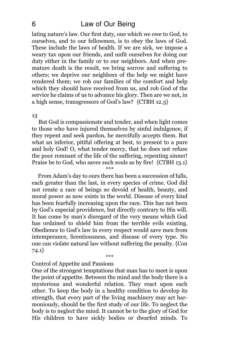# 6 Law of Our Being

lating nature's law. Our first duty, one which we owe to God, to ourselves, and to our fellowmen, is to obey the laws of God. These include the laws of health. If we are sick, we impose a weary tax upon our friends, and unfit ourselves for doing our duty either in the family or to our neighbors. And when premature death is the result, we bring sorrow and suffering to others; we deprive our neighbors of the help we might have rendered them; we rob our families of the comfort and help which they should have received from us, and rob God of the service he claims of us to advance his glory. Then are we not, in a high sense, transgressors of God's law? {CTBH 12.3}

#### 13

But God is compassionate and tender, and when light comes to those who have injured themselves by sinful indulgence, if they repent and seek pardon, he mercifully accepts them. But what an inferior, pitiful offering at best, to present to a pure and holy God! O, what tender mercy, that he does not refuse the poor remnant of the life of the suffering, repenting sinner! Praise be to God, who saves such souls as by fire! {CTBH 13.1}

\*\*\*

From Adam's day to ours there has been a succession of falls, each greater than the last, in every species of crime. God did not create a race of beings so devoid of health, beauty, and moral power as now exists in the world. Disease of every kind has been fearfully increasing upon the race. This has not been by God's especial providence, but directly contrary to His will. It has come by man's disregard of the very means which God has ordained to shield him from the terrible evils existing. Obedience to God's law in every respect would save men from intemperance, licentiousness, and disease of every type. No one can violate natural law without suffering the penalty. {Con 74.1}

\*\*\*

## Control of Appetite and Passions

One of the strongest temptations that man has to meet is upon the point of appetite. Between the mind and the body there is a mysterious and wonderful relation. They react upon each other. To keep the body in a healthy condition to develop its strength, that every part of the living machinery may act harmoniously, should be the first study of our life. To neglect the body is to neglect the mind. It cannot be to the glory of God for His children to have sickly bodies or dwarfed minds. To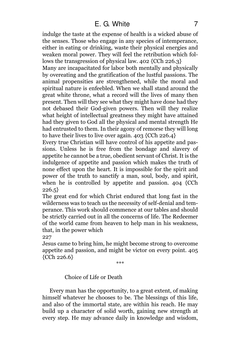indulge the taste at the expense of health is a wicked abuse of the senses. Those who engage in any species of intemperance, either in eating or drinking, waste their physical energies and weaken moral power. They will feel the retribution which follows the transgression of physical law. 402 {CCh 226.3}

Many are incapacitated for labor both mentally and physically by overeating and the gratification of the lustful passions. The animal propensities are strengthened, while the moral and spiritual nature is enfeebled. When we shall stand around the great white throne, what a record will the lives of many then present. Then will they see what they might have done had they not debased their God-given powers. Then will they realize what height of intellectual greatness they might have attained had they given to God all the physical and mental strength He had entrusted to them. In their agony of remorse they will long to have their lives to live over again. 403 {CCh 226.4}

Every true Christian will have control of his appetite and passions. Unless he is free from the bondage and slavery of appetite he cannot be a true, obedient servant of Christ. It is the indulgence of appetite and passion which makes the truth of none effect upon the heart. It is impossible for the spirit and power of the truth to sanctify a man, soul, body, and spirit, when he is controlled by appetite and passion. 404 {CCh  $226.5$ 

The great end for which Christ endured that long fast in the wilderness was to teach us the necessity of self-denial and temperance. This work should commence at our tables and should be strictly carried out in all the concerns of life. The Redeemer of the world came from heaven to help man in his weakness, that, in the power which

227

Jesus came to bring him, he might become strong to overcome appetite and passion, and might be victor on every point. 405 {CCh 226.6}

\*\*\*

# Choice of Life or Death

Every man has the opportunity, to a great extent, of making himself whatever he chooses to be. The blessings of this life, and also of the immortal state, are within his reach. He may build up a character of solid worth, gaining new strength at every step. He may advance daily in knowledge and wisdom,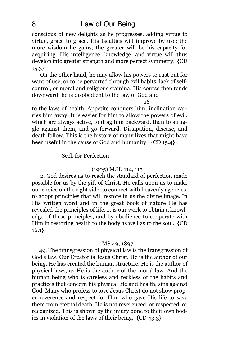# 8 Law of Our Being

conscious of new delights as he progresses, adding virtue to virtue, grace to grace. His faculties will improve by use; the more wisdom he gains, the greater will be his capacity for acquiring. His intelligence, knowledge, and virtue will thus develop into greater strength and more perfect symmetry. {CD 15.3}

On the other hand, he may allow his powers to rust out for want of use, or to be perverted through evil habits, lack of selfcontrol, or moral and religious stamina. His course then tends downward; he is disobedient to the law of God and

#### 16

to the laws of health. Appetite conquers him; inclination carries him away. It is easier for him to allow the powers of evil, which are always active, to drag him backward, than to struggle against them, and go forward. Dissipation, disease, and death follow. This is the history of many lives that might have been useful in the cause of God and humanity. {CD 15.4}

# Seek for Perfection

# (1905) M.H. 114, 115

2. God desires us to reach the standard of perfection made possible for us by the gift of Christ. He calls upon us to make our choice on the right side, to connect with heavenly agencies, to adopt principles that will restore in us the divine image. In His written word and in the great book of nature He has revealed the principles of life. It is our work to obtain a knowledge of these principles, and by obedience to cooperate with Him in restoring health to the body as well as to the soul. {CD 16.1}

# MS 49, 1897

49. The transgression of physical law is the transgression of God's law. Our Creator is Jesus Christ. He is the author of our being. He has created the human structure. He is the author of physical laws, as He is the author of the moral law. And the human being who is careless and reckless of the habits and practices that concern his physical life and health, sins against God. Many who profess to love Jesus Christ do not show proper reverence and respect for Him who gave His life to save them from eternal death. He is not reverenced, or respected, or recognized. This is shown by the injury done to their own bodies in violation of the laws of their being. {CD 43.3}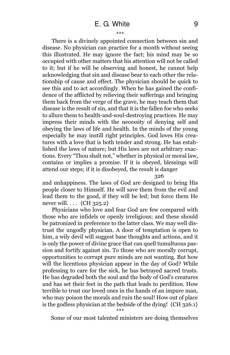There is a divinely appointed connection between sin and disease. No physician can practice for a month without seeing this illustrated. He may ignore the fact; his mind may be so occupied with other matters that his attention will not be called to it; but if he will be observing and honest, he cannot help acknowledging that sin and disease bear to each other the relationship of cause and effect. The physician should be quick to see this and to act accordingly. When he has gained the confidence of the afflicted by relieving their sufferings and bringing them back from the verge of the grave, he may teach them that disease is the result of sin, and that it is the fallen foe who seeks to allure them to health-and-soul-destroying practices. He may impress their minds with the necessity of denying self and obeying the laws of life and health. In the minds of the young especially he may instill right principles. God loves His creatures with a love that is both tender and strong. He has established the laws of nature; but His laws are not arbitrary exactions. Every "Thou shalt not," whether in physical or moral law, contains or implies a promise. If it is obeyed, blessings will attend our steps; if it is disobeyed, the result is danger

#### 326

and unhappiness. The laws of God are designed to bring His people closer to Himself. He will save them from the evil and lead them to the good, if they will be led; but force them He never will. . . . {CH 325.2}

Physicians who love and fear God are few compared with those who are infidels or openly irreligious; and these should be patronized in preference to the latter class. We may well distrust the ungodly physician. A door of temptation is open to him, a wily devil will suggest base thoughts and actions, and it is only the power of divine grace that can quell tumultuous passion and fortify against sin. To those who are morally corrupt, opportunities to corrupt pure minds are not wanting. But how will the licentious physician appear in the day of God? While professing to care for the sick, he has betrayed sacred trusts. He has degraded both the soul and the body of God's creatures and has set their feet in the path that leads to perdition. How terrible to trust our loved ones in the hands of an impure man, who may poison the morals and ruin the soul! How out of place is the godless physician at the bedside of the dying! {CH 326.1} \*\*\*

Some of our most talented ministers are doing themselves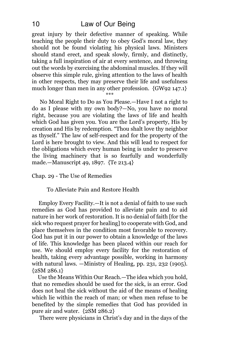great injury by their defective manner of speaking. While teaching the people their duty to obey God's moral law, they should not be found violating his physical laws. Ministers should stand erect, and speak slowly, firmly, and distinctly, taking a full inspiration of air at every sentence, and throwing out the words by exercising the abdominal muscles. If they will observe this simple rule, giving attention to the laws of health in other respects, they may preserve their life and usefulness much longer than men in any other profession. {GW92 147.1} \*\*\*

No Moral Right to Do as You Please.—Have I not a right to do as I please with my own body?—No, you have no moral right, because you are violating the laws of life and health which God has given you. You are the Lord's property, His by creation and His by redemption. "Thou shalt love thy neighbor as thyself." The law of self-respect and for the property of the Lord is here brought to view. And this will lead to respect for the obligations which every human being is under to preserve the living machinery that is so fearfully and wonderfully made.—Manuscript 49, 1897. {Te 213.4}

Chap. 29 - The Use of Remedies

To Alleviate Pain and Restore Health

Employ Every Facility.—It is not a denial of faith to use such remedies as God has provided to alleviate pain and to aid nature in her work of restoration. It is no denial of faith [for the sick who request prayer for healing] to cooperate with God, and place themselves in the condition most favorable to recovery. God has put it in our power to obtain a knowledge of the laws of life. This knowledge has been placed within our reach for use. We should employ every facility for the restoration of health, taking every advantage possible, working in harmony with natural laws. —Ministry of Healing, pp. 231, 232 (1905). {2SM 286.1}

Use the Means Within Our Reach.—The idea which you hold, that no remedies should be used for the sick, is an error. God does not heal the sick without the aid of the means of healing which lie within the reach of man; or when men refuse to be benefited by the simple remedies that God has provided in pure air and water. {2SM 286.2}

There were physicians in Christ's day and in the days of the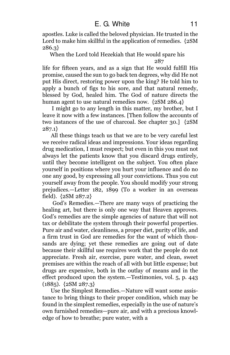apostles. Luke is called the beloved physician. He trusted in the Lord to make him skillful in the application of remedies. {2SM 286.3}

When the Lord told Hezekiah that He would spare his 287

life for fifteen years, and as a sign that He would fulfill His promise, caused the sun to go back ten degrees, why did He not put His direct, restoring power upon the king? He told him to apply a bunch of figs to his sore, and that natural remedy, blessed by God, healed him. The God of nature directs the human agent to use natural remedies now.  ${2SM 286.4}$ 

I might go to any length in this matter, my brother, but I leave it now with a few instances. [Then follow the accounts of two instances of the use of charcoal. See chapter 30.] {2SM 287.1}

All these things teach us that we are to be very careful lest we receive radical ideas and impressions. Your ideas regarding drug medication, I must respect; but even in this you must not always let the patients know that you discard drugs entirely, until they become intelligent on the subject. You often place yourself in positions where you hurt your influence and do no one any good, by expressing all your convictions. Thus you cut yourself away from the people. You should modify your strong prejudices.—Letter 182, 1899 (To a worker in an overseas field). {2SM 287.2}

God's Remedies.—There are many ways of practicing the healing art, but there is only one way that Heaven approves. God's remedies are the simple agencies of nature that will not tax or debilitate the system through their powerful properties. Pure air and water, cleanliness, a proper diet, purity of life, and a firm trust in God are remedies for the want of which thousands are dying; yet these remedies are going out of date because their skillful use requires work that the people do not appreciate. Fresh air, exercise, pure water, and clean, sweet premises are within the reach of all with but little expense; but drugs are expensive, both in the outlay of means and in the effect produced upon the system.—Testimonies, vol. 5, p. 443 (1885). {2SM 287.3}

Use the Simplest Remedies.—Nature will want some assistance to bring things to their proper condition, which may be found in the simplest remedies, especially in the use of nature's own furnished remedies—pure air, and with a precious knowledge of how to breathe; pure water, with a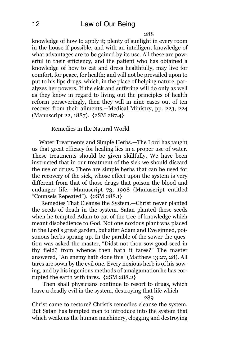knowledge of how to apply it; plenty of sunlight in every room in the house if possible, and with an intelligent knowledge of what advantages are to be gained by its use. All these are powerful in their efficiency, and the patient who has obtained a knowledge of how to eat and dress healthfully, may live for comfort, for peace, for health; and will not be prevailed upon to put to his lips drugs, which, in the place of helping nature, paralyzes her powers. If the sick and suffering will do only as well as they know in regard to living out the principles of health reform perseveringly, then they will in nine cases out of ten recover from their ailments.—Medical Ministry, pp. 223, 224 (Manuscript 22, 1887). {2SM 287.4}

# Remedies in the Natural World

Water Treatments and Simple Herbs.—The Lord has taught us that great efficacy for healing lies in a proper use of water. These treatments should be given skillfully. We have been instructed that in our treatment of the sick we should discard the use of drugs. There are simple herbs that can be used for the recovery of the sick, whose effect upon the system is very different from that of those drugs that poison the blood and endanger life.—Manuscript 73, 1908 (Manuscript entitled "Counsels Repeated"). {2SM 288.1}

Remedies That Cleanse the System.—Christ never planted the seeds of death in the system. Satan planted these seeds when he tempted Adam to eat of the tree of knowledge which meant disobedience to God. Not one noxious plant was placed in the Lord's great garden, but after Adam and Eve sinned, poisonous herbs sprang up. In the parable of the sower the question was asked the master, "Didst not thou sow good seed in thy field? from whence then hath it tares?" The master answered, "An enemy hath done this" (Matthew 13:27, 28). All tares are sown by the evil one. Every noxious herb is of his sowing, and by his ingenious methods of amalgamation he has corrupted the earth with tares. {2SM 288.2}

Then shall physicians continue to resort to drugs, which leave a deadly evil in the system, destroying that life which

289

Christ came to restore? Christ's remedies cleanse the system. But Satan has tempted man to introduce into the system that which weakens the human machinery, clogging and destroying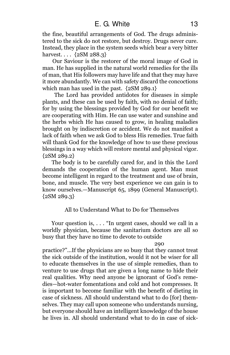the fine, beautiful arrangements of God. The drugs administered to the sick do not restore, but destroy. Drugs never cure. Instead, they place in the system seeds which bear a very bitter harvest. . . . {2SM 288.3}

Our Saviour is the restorer of the moral image of God in man. He has supplied in the natural world remedies for the ills of man, that His followers may have life and that they may have it more abundantly. We can with safety discard the concoctions which man has used in the past. {2SM 289.1}

The Lord has provided antidotes for diseases in simple plants, and these can be used by faith, with no denial of faith; for by using the blessings provided by God for our benefit we are cooperating with Him. He can use water and sunshine and the herbs which He has caused to grow, in healing maladies brought on by indiscretion or accident. We do not manifest a lack of faith when we ask God to bless His remedies. True faith will thank God for the knowledge of how to use these precious blessings in a way which will restore mental and physical vigor. {2SM 289.2}

The body is to be carefully cared for, and in this the Lord demands the cooperation of the human agent. Man must become intelligent in regard to the treatment and use of brain, bone, and muscle. The very best experience we can gain is to know ourselves.—Manuscript 65, 1899 (General Manuscript).  ${2SM 289.3}$ 

# All to Understand What to Do for Themselves

Your question is, . . . "In urgent cases, should we call in a worldly physician, because the sanitarium doctors are all so busy that they have no time to devote to outside

#### 290

practice?"...If the physicians are so busy that they cannot treat the sick outside of the institution, would it not be wiser for all to educate themselves in the use of simple remedies, than to venture to use drugs that are given a long name to hide their real qualities. Why need anyone be ignorant of God's remedies—hot-water fomentations and cold and hot compresses. It is important to become familiar with the benefit of dieting in case of sickness. All should understand what to do [for] themselves. They may call upon someone who understands nursing, but everyone should have an intelligent knowledge of the house he lives in. All should understand what to do in case of sick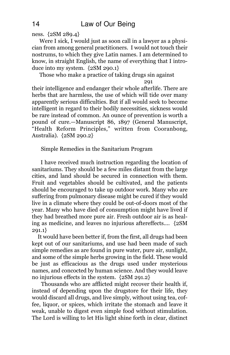ness. {2SM 289.4}

Were I sick, I would just as soon call in a lawyer as a physician from among general practitioners. I would not touch their nostrums, to which they give Latin names. I am determined to know, in straight English, the name of everything that I introduce into my system. {2SM 290.1}

Those who make a practice of taking drugs sin against

291

their intelligence and endanger their whole afterlife. There are herbs that are harmless, the use of which will tide over many apparently serious difficulties. But if all would seek to become intelligent in regard to their bodily necessities, sickness would be rare instead of common. An ounce of prevention is worth a pound of cure.—Manuscript 86, 1897 (General Manuscript, "Health Reform Principles," written from Cooranbong, Australia). {2SM 290.2}

Simple Remedies in the Sanitarium Program

I have received much instruction regarding the location of sanitariums. They should be a few miles distant from the large cities, and land should be secured in connection with them. Fruit and vegetables should be cultivated, and the patients should be encouraged to take up outdoor work. Many who are suffering from pulmonary disease might be cured if they would live in a climate where they could be out-of-doors most of the year. Many who have died of consumption might have lived if they had breathed more pure air. Fresh outdoor air is as healing as medicine, and leaves no injurious aftereffects.... {2SM 291.1}

It would have been better if, from the first, all drugs had been kept out of our sanitariums, and use had been made of such simple remedies as are found in pure water, pure air, sunlight, and some of the simple herbs growing in the field. These would be just as efficacious as the drugs used under mysterious names, and concocted by human science. And they would leave no injurious effects in the system. {2SM 291.2}

Thousands who are afflicted might recover their health if, instead of depending upon the drugstore for their life, they would discard all drugs, and live simply, without using tea, coffee, liquor, or spices, which irritate the stomach and leave it weak, unable to digest even simple food without stimulation. The Lord is willing to let His light shine forth in clear, distinct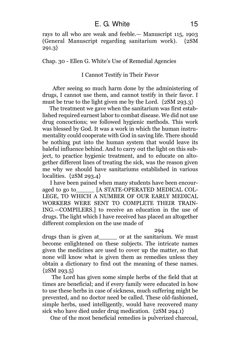rays to all who are weak and feeble.— Manuscript 115, 1903 (General Manuscript regarding sanitarium work). {2SM 291.3}

Chap. 30 - Ellen G. White's Use of Remedial Agencies

# I Cannot Testify in Their Favor

After seeing so much harm done by the administering of drugs, I cannot use them, and cannot testify in their favor. I must be true to the light given me by the Lord. {2SM 293.3}

The treatment we gave when the sanitarium was first established required earnest labor to combat disease. We did not use drug concoctions; we followed hygienic methods. This work was blessed by God. It was a work in which the human instrumentality could cooperate with God in saving life. There should be nothing put into the human system that would leave its baleful influence behind. And to carry out the light on this subject, to practice hygienic treatment, and to educate on altogether different lines of treating the sick, was the reason given me why we should have sanitariums established in various localities. {2SM 293.4}

I have been pained when many students have been encouraged to go to [A STATE-OPERATED MEDICAL COL-LEGE, TO WHICH A NUMBER OF OUR EARLY MEDICAL WORKERS WERE SENT TO COMPLETE THEIR TRAIN-ING.—COMPILERS.] to receive an education in the use of drugs. The light which I have received has placed an altogether different complexion on the use made of

#### 294

drugs than is given at the sanitarium. We must become enlightened on these subjects. The intricate names given the medicines are used to cover up the matter, so that none will know what is given them as remedies unless they obtain a dictionary to find out the meaning of these names.  ${2SM 293.5}$ 

The Lord has given some simple herbs of the field that at times are beneficial; and if every family were educated in how to use these herbs in case of sickness, much suffering might be prevented, and no doctor need be called. These old-fashioned, simple herbs, used intelligently, would have recovered many sick who have died under drug medication. {2SM 294.1}

One of the most beneficial remedies is pulverized charcoal,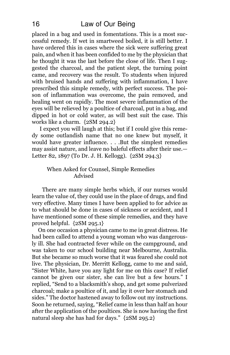placed in a bag and used in fomentations. This is a most successful remedy. If wet in smartweed boiled, it is still better. I have ordered this in cases where the sick were suffering great pain, and when it has been confided to me by the physician that he thought it was the last before the close of life. Then I suggested the charcoal, and the patient slept, the turning point came, and recovery was the result. To students when injured with bruised hands and suffering with inflammation, I have prescribed this simple remedy, with perfect success. The poison of inflammation was overcome, the pain removed, and healing went on rapidly. The most severe inflammation of the eyes will be relieved by a poultice of charcoal, put in a bag, and dipped in hot or cold water, as will best suit the case. This works like a charm. {2SM 294.2}

I expect you will laugh at this; but if I could give this remedy some outlandish name that no one knew but myself, it would have greater influence. . . .But the simplest remedies may assist nature, and leave no baleful effects after their use.— Letter 82, 1897 (To Dr. J. H. Kellogg). {2SM 294.3}

# When Asked for Counsel, Simple Remedies Advised

There are many simple herbs which, if our nurses would learn the value of, they could use in the place of drugs, and find very effective. Many times I have been applied to for advice as to what should be done in cases of sickness or accident, and I have mentioned some of these simple remedies, and they have proved helpful. {2SM 295.1}

On one occasion a physician came to me in great distress. He had been called to attend a young woman who was dangerously ill. She had contracted fever while on the campground, and was taken to our school building near Melbourne, Australia. But she became so much worse that it was feared she could not live. The physician, Dr. Merritt Kellogg, came to me and said, "Sister White, have you any light for me on this case? If relief cannot be given our sister, she can live but a few hours." I replied, "Send to a blacksmith's shop, and get some pulverized charcoal; make a poultice of it, and lay it over her stomach and sides." The doctor hastened away to follow out my instructions. Soon he returned, saying, "Relief came in less than half an hour after the application of the poultices. She is now having the first natural sleep she has had for days." {2SM 295.2}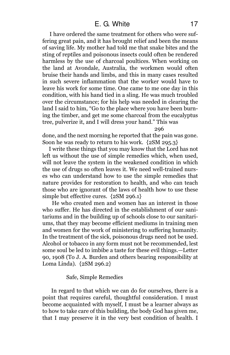I have ordered the same treatment for others who were suffering great pain, and it has brought relief and been the means of saving life. My mother had told me that snake bites and the sting of reptiles and poisonous insects could often be rendered harmless by the use of charcoal poultices. When working on the land at Avondale, Australia, the workmen would often bruise their hands and limbs, and this in many cases resulted in such severe inflammation that the worker would have to leave his work for some time. One came to me one day in this condition, with his hand tied in a sling. He was much troubled over the circumstance; for his help was needed in clearing the land I said to him, "Go to the place where you have been burning the timber, and get me some charcoal from the eucalyptus tree, pulverize it, and I will dress your hand." This was

296

done, and the next morning he reported that the pain was gone. Soon he was ready to return to his work. {2SM 295.3}

I write these things that you may know that the Lord has not left us without the use of simple remedies which, when used, will not leave the system in the weakened condition in which the use of drugs so often leaves it. We need well-trained nurses who can understand how to use the simple remedies that nature provides for restoration to health, and who can teach those who are ignorant of the laws of health how to use these simple but effective cures. {2SM 296.1}

He who created men and women has an interest in those who suffer. He has directed in the establishment of our sanitariums and in the building up of schools close to our sanitariums, that they may become efficient mediums in training men and women for the work of ministering to suffering humanity. In the treatment of the sick, poisonous drugs need not be used. Alcohol or tobacco in any form must not be recommended, lest some soul be led to imbibe a taste for these evil things.—Letter 90, 1908 (To J. A. Burden and others bearing responsibility at Loma Linda). {2SM 296.2}

### Safe, Simple Remedies

In regard to that which we can do for ourselves, there is a point that requires careful, thoughtful consideration. I must become acquainted with myself, I must be a learner always as to how to take care of this building, the body God has given me, that I may preserve it in the very best condition of health. I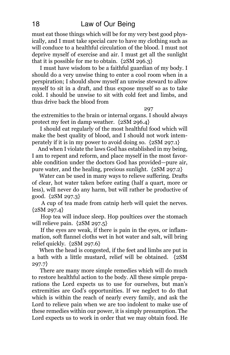must eat those things which will be for my very best good physically, and I must take special care to have my clothing such as will conduce to a healthful circulation of the blood. I must not deprive myself of exercise and air. I must get all the sunlight that it is possible for me to obtain. {2SM 296.3}

I must have wisdom to be a faithful guardian of my body. I should do a very unwise thing to enter a cool room when in a perspiration; I should show myself an unwise steward to allow myself to sit in a draft, and thus expose myself so as to take cold. I should be unwise to sit with cold feet and limbs, and thus drive back the blood from

297

the extremities to the brain or internal organs. I should always protect my feet in damp weather. {2SM 296.4}

I should eat regularly of the most healthful food which will make the best quality of blood, and I should not work intemperately if it is in my power to avoid doing so. {2SM 297.1}

And when I violate the laws God has established in my being, I am to repent and reform, and place myself in the most favorable condition under the doctors God has provided—pure air, pure water, and the healing, precious sunlight. {2SM 297.2}

Water can be used in many ways to relieve suffering. Drafts of clear, hot water taken before eating (half a quart, more or less), will never do any harm, but will rather be productive of good. {2SM 297.3}

A cup of tea made from catnip herb will quiet the nerves.  ${2SM 297.4}$ 

Hop tea will induce sleep. Hop poultices over the stomach will relieve pain.  ${2SM 297.5}$ 

If the eyes are weak, if there is pain in the eyes, or inflammation, soft flannel cloths wet in hot water and salt, will bring relief quickly. {2SM 297.6}

When the head is congested, if the feet and limbs are put in a bath with a little mustard, relief will be obtained. {2SM 297.7}

There are many more simple remedies which will do much to restore healthful action to the body. All these simple preparations the Lord expects us to use for ourselves, but man's extremities are God's opportunities. If we neglect to do that which is within the reach of nearly every family, and ask the Lord to relieve pain when we are too indolent to make use of these remedies within our power, it is simply presumption. The Lord expects us to work in order that we may obtain food. He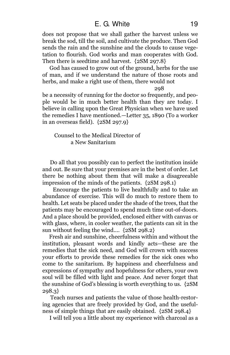does not propose that we shall gather the harvest unless we break the sod, till the soil, and cultivate the produce. Then God sends the rain and the sunshine and the clouds to cause vegetation to flourish. God works and man cooperates with God. Then there is seedtime and harvest. {2SM 297.8}

God has caused to grow out of the ground, herbs for the use of man, and if we understand the nature of those roots and herbs, and make a right use of them, there would not

298

be a necessity of running for the doctor so frequently, and people would be in much better health than they are today. I believe in calling upon the Great Physician when we have used the remedies I have mentioned.—Letter 35, 1890 (To a worker in an overseas field). {2SM 297.9}

Counsel to the Medical Director of a New Sanitarium

Do all that you possibly can to perfect the institution inside and out. Be sure that your premises are in the best of order. Let there be nothing about them that will make a disagreeable impression of the minds of the patients. {2SM 298.1}

Encourage the patients to live healthfully and to take an abundance of exercise. This will do much to restore them to health. Let seats be placed under the shade of the trees, that the patients may be encouraged to spend much time out-of-doors. And a place should be provided, enclosed either with canvas or with glass, where, in cooler weather, the patients can sit in the sun without feeling the wind.... {2SM 298.2}

Fresh air and sunshine, cheerfulness within and without the institution, pleasant words and kindly acts—these are the remedies that the sick need, and God will crown with success your efforts to provide these remedies for the sick ones who come to the sanitarium. By happiness and cheerfulness and expressions of sympathy and hopefulness for others, your own soul will be filled with light and peace. And never forget that the sunshine of God's blessing is worth everything to us. {2SM 298.3}

Teach nurses and patients the value of those health-restoring agencies that are freely provided by God, and the usefulness of simple things that are easily obtained. {2SM 298.4}

I will tell you a little about my experience with charcoal as a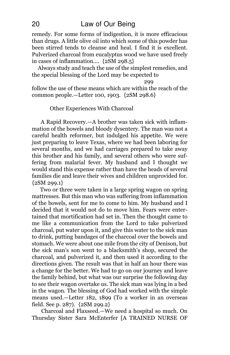remedy. For some forms of indigestion, it is more efficacious than drugs. A little olive oil into which some of this powder has been stirred tends to cleanse and heal. I find it is excellent. Pulverized charcoal from eucalyptus wood we have used freely in cases of inflammation.... {2SM 298.5}

Always study and teach the use of the simplest remedies, and the special blessing of the Lord may be expected to

299

follow the use of these means which are within the reach of the common people.—Letter 100, 1903. {2SM 298.6}

## Other Experiences With Charcoal

A Rapid Recovery.—A brother was taken sick with inflammation of the bowels and bloody dysentery. The man was not a careful health reformer, but indulged his appetite. We were just preparing to leave Texas, where we had been laboring for several months, and we had carriages prepared to take away this brother and his family, and several others who were suffering from malarial fever. My husband and I thought we would stand this expense rather than have the heads of several families die and leave their wives and children unprovided for.  ${2SM 299.1}$ 

Two or three were taken in a large spring wagon on spring mattresses. But this man who was suffering from inflammation of the bowels, sent for me to come to him. My husband and I decided that it would not do to move him. Fears were entertained that mortification had set in. Then the thought came to me like a communication from the Lord to take pulverized charcoal, put water upon it, and give this water to the sick man to drink, putting bandages of the charcoal over the bowels and stomach. We were about one mile from the city of Denison, but the sick man's son went to a blacksmith's shop, secured the charcoal, and pulverized it, and then used it according to the directions given. The result was that in half an hour there was a change for the better. We had to go on our journey and leave the family behind, but what was our surprise the following day to see their wagon overtake us. The sick man was lying in a bed in the wagon. The blessing of God had worked with the simple means used.—Letter 182, 1899 (To a worker in an overseas field. See p. 287). {2SM 299.2}

Charcoal and Flaxseed.—We need a hospital so much. On Thursday Sister Sara McEnterfer [A TRAINED NURSE OF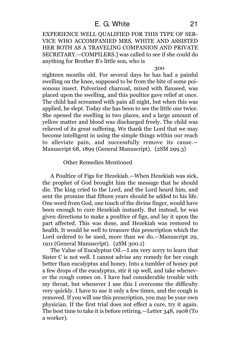EXPERIENCE WELL QUALIFIED FOR THIS TYPE OF SER-VICE WHO ACCOMPANIED MRS. WHITE AND ASSISTED HER BOTH AS A TRAVELING COMPANION AND PRIVATE SECRETARY.—COMPILERS.] was called to see if she could do anything for Brother B's little son, who is

#### 300

eighteen months old. For several days he has had a painful swelling on the knee, supposed to be from the bite of some poisonous insect. Pulverized charcoal, mixed with flaxseed, was placed upon the swelling, and this poultice gave relief at once. The child had screamed with pain all night, but when this was applied, he slept. Today she has been to see the little one twice. She opened the swelling in two places, and a large amount of yellow matter and blood was discharged freely. The child was relieved of its great suffering. We thank the Lord that we may become intelligent in using the simple things within our reach to alleviate pain, and successfully remove its cause.— Manuscript 68, 1899 (General Manuscript). {2SM 299.3}

# Other Remedies Mentioned

A Poultice of Figs for Hezekiah.—When Hezekiah was sick, the prophet of God brought him the message that he should die. The king cried to the Lord, and the Lord heard him, and sent the promise that fifteen years should be added to his life. One word from God, one touch of the divine finger, would have been enough to cure Hezekiah instantly. But instead, he was given directions to make a poultice of figs, and lay it upon the part affected. This was done, and Hezekiah was restored to health. It would be well to treasure this prescription which the Lord ordered to be used, more than we do.—Manuscript 29, 1911 (General Manuscript). {2SM 300.1}

The Value of Eucalyptus Oil.—I am very sorry to learn that Sister C is not well. I cannot advise any remedy for her cough better than eucalyptus and honey. Into a tumbler of honey put a few drops of the eucalyptus, stir it up well, and take whenever the cough comes on. I have had considerable trouble with my throat, but whenever I use this I overcome the difficulty very quickly. I have to use it only a few times, and the cough is removed. If you will use this prescription, you may be your own physician. If the first trial does not effect a cure, try it again. The best time to take it is before retiring.—Letter 348, 1908 (To a worker).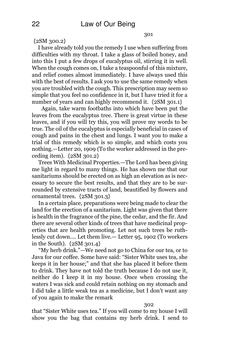301

 ${2SM, 300.2}$ 

I have already told you the remedy I use when suffering from difficulties with my throat. I take a glass of boiled honey, and into this I put a few drops of eucalyptus oil, stirring it in well. When the cough comes on, I take a teaspoonful of this mixture, and relief comes almost immediately. I have always used this with the best of results. I ask you to use the same remedy when you are troubled with the cough. This prescription may seem so simple that you feel no confidence in it, but I have tried it for a number of years and can highly recommend it.  $\{2SM, 301.1\}$ 

Again, take warm footbaths into which have been put the leaves from the eucalyptus tree. There is great virtue in these leaves, and if you will try this, you will prove my words to be true. The oil of the eucalyptus is especially beneficial in cases of cough and pains in the chest and lungs. I want you to make a trial of this remedy which is so simple, and which costs you nothing.—Letter 20, 1909 (To the worker addressed in the preceding item). {2SM 301.2}

Trees With Medicinal Properties.—The Lord has been giving me light in regard to many things. He has shown me that our sanitariums should be erected on as high an elevation as is necessary to secure the best results, and that they are to be surrounded by extensive tracts of land, beautified by flowers and ornamental trees. {2SM 301.3}

In a certain place, preparations were being made to clear the land for the erection of a sanitarium. Light was given that there is health in the fragrance of the pine, the cedar, and the fir. And there are several other kinds of trees that have medicinal properties that are health promoting. Let not such trees be ruthlessly cut down.... Let them live.— Letter 95, 1902 (To workers in the South). {2SM 301.4}

"My herb drink."—We need not go to China for our tea, or to Java for our coffee. Some have said: "Sister White uses tea, she keeps it in her house;" and that she has placed it before them to drink. They have not told the truth because I do not use it, neither do I keep it in my house. Once when crossing the waters I was sick and could retain nothing on my stomach and I did take a little weak tea as a medicine, but I don't want any of you again to make the remark

#### 302

that "Sister White uses tea." If you will come to my house I will show you the bag that contains my herb drink. I send to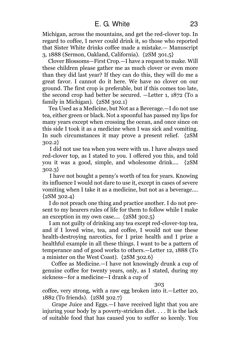Michigan, across the mountains, and get the red-clover top. In regard to coffee, I never could drink it, so those who reported that Sister White drinks coffee made a mistake.— Manuscript 3, 1888 (Sermon, Oakland, California). {2SM 301.5}

Clover Blossoms—First Crop.—I have a request to make. Will these children please gather me as much clover or even more than they did last year? If they can do this, they will do me a great favor. I cannot do it here. We have no clover on our ground. The first crop is preferable, but if this comes too late, the second crop had better be secured. —Letter 1, 1872 (To a family in Michigan). {2SM 302.1}

Tea Used as a Medicine, but Not as a Beverage.—I do not use tea, either green or black. Not a spoonful has passed my lips for many years except when crossing the ocean, and once since on this side I took it as a medicine when I was sick and vomiting. In such circumstances it may prove a present relief. {2SM 302.2}

I did not use tea when you were with us. I have always used red-clover top, as I stated to you. I offered you this, and told you it was a good, simple, and wholesome drink.... {2SM 302.3}

I have not bought a penny's worth of tea for years. Knowing its influence I would not dare to use it, except in cases of severe vomiting when I take it as a medicine, but not as a beverage....  ${2SM} 302.4$ 

I do not preach one thing and practice another. I do not present to my hearers rules of life for them to follow while I make an exception in my own case.... {2SM 302.5}

I am not guilty of drinking any tea except red-clover-top tea, and if I loved wine, tea, and coffee, I would not use these health-destroying narcotics, for I prize health and I prize a healthful example in all these things. I want to be a pattern of temperance and of good works to others.—Letter 12, 1888 (To a minister on the West Coast). {2SM 302.6}

Coffee as Medicine.—I have not knowingly drunk a cup of genuine coffee for twenty years, only, as I stated, during my sickness—for a medicine—I drank a cup of

303

coffee, very strong, with a raw egg broken into it.—Letter 20, 1882 (To friends). {2SM 302.7}

Grape Juice and Eggs.—I have received light that you are injuring your body by a poverty-stricken diet. . . . It is the lack of suitable food that has caused you to suffer so keenly. You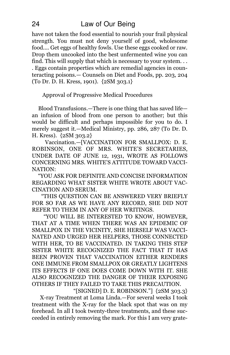have not taken the food essential to nourish your frail physical strength. You must not deny yourself of good, wholesome food.... Get eggs of healthy fowls. Use these eggs cooked or raw. Drop them uncooked into the best unfermented wine you can find. This will supply that which is necessary to your system. . . . Eggs contain properties which are remedial agencies in counteracting poisons.— Counsels on Diet and Foods, pp. 203, 204 (To Dr. D. H. Kress, 1901). {2SM 303.1}

Approval of Progressive Medical Procedures

Blood Transfusions.—There is one thing that has saved life an infusion of blood from one person to another; but this would be difficult and perhaps impossible for you to do. I merely suggest it.—Medical Ministry, pp. 286, 287 (To Dr. D. H. Kress). {2SM 303.2}

Vaccination.—[VACCINATION FOR SMALLPOX: D. E. ROBINSON, ONE OF MRS. WHITE'S SECRETARIES, UNDER DATE OF JUNE 12, 1931, WROTE AS FOLLOWS CONCERNING MRS. WHITE'S ATTITUDE TOWARD VACCI-NATION:

"YOU ASK FOR DEFINITE AND CONCISE INFORMATION REGARDING WHAT SISTER WHITE WROTE ABOUT VAC-CINATION AND SERUM.

"THIS QUESTION CAN BE ANSWERED VERY BRIEFLY FOR SO FAR AS WE HAVE ANY RECORD, SHE DID NOT REFER TO THEM IN ANY OF HER WRITINGS.

"YOU WILL BE INTERESTED TO KNOW, HOWEVER, THAT AT A TIME WHEN THERE WAS AN EPIDEMIC OF SMALLPOX IN THE VICINITY, SHE HERSELF WAS VACCI-NATED AND URGED HER HELPERS, THOSE CONNECTED WITH HER, TO BE VACCINATED. IN TAKING THIS STEP SISTER WHITE RECOGNIZED THE FACT THAT IT HAS BEEN PROVEN THAT VACCINATION EITHER RENDERS ONE IMMUNE FROM SMALLPOX OR GREATLY LIGHTENS ITS EFFECTS IF ONE DOES COME DOWN WITH IT. SHE ALSO RECOGNIZED THE DANGER OF THEIR EXPOSING OTHERS IF THEY FAILED TO TAKE THIS PRECAUTION.

"[SIGNED] D. E. ROBINSON."] {2SM 303.3} X-ray Treatment at Loma Linda.—For several weeks I took treatment with the X-ray for the black spot that was on my forehead. In all I took twenty-three treatments, and these succeeded in entirely removing the mark. For this I am very grate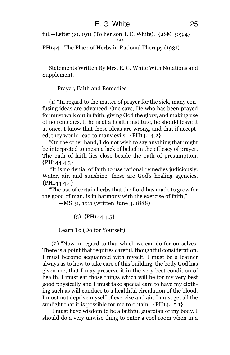ful.—Letter 30, 1911 (To her son J. E. White). {2SM 303.4}

\*\*\*

PH144 - The Place of Herbs in Rational Therapy (1931)

Statements Written By Mrs. E. G. White With Notations and Supplement.

Prayer, Faith and Remedies

(1) "In regard to the matter of prayer for the sick, many confusing ideas are advanced. One says, He who has been prayed for must walk out in faith, giving God the glory, and making use of no remedies. If he is at a health institute, he should leave it at once. I know that these ideas are wrong, and that if accepted, they would lead to many evils. {PH144 4.2}

"On the other hand, I do not wish to say anything that might be interpreted to mean a lack of belief in the efficacy of prayer. The path of faith lies close beside the path of presumption. {PH144 4.3}

"It is no denial of faith to use rational remedies judiciously. Water, air, and sunshine, these are God's healing agencies.  ${PH1444.4}$ 

"The use of certain herbs that the Lord has made to grow for the good of man, is in harmony with the exercise of faith,"

—MS 31, 1911 (written June 3, 1888)

(5) {PH144 4.5}

Learn To (Do for Yourself)

(2) "Now in regard to that which we can do for ourselves: There is a point that requires careful, thoughtful consideration. I must become acquainted with myself. I must be a learner always as to how to take care of this building, the body God has given me, that I may preserve it in the very best condition of health. I must eat those things which will be for my very best good physically and I must take special care to have my clothing such as will conduce to a healthful circulation of the blood. I must not deprive myself of exercise and air. I must get all the sunlight that it is possible for me to obtain.  $\{PH144, 5.1\}$ 

"I must have wisdom to be a faithful guardian of my body. I should do a very unwise thing to enter a cool room when in a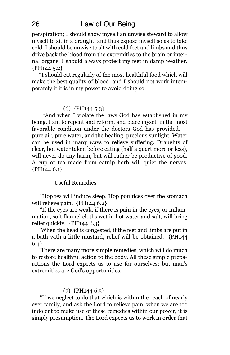perspiration; I should show myself an unwise steward to allow myself to sit in a draught, and thus expose myself so as to take cold. I should be unwise to sit with cold feet and limbs and thus drive back the blood from the extremities to the brain or internal organs. I should always protect my feet in damp weather. {PH144 5.2}

"I should eat regularly of the most healthful food which will make the best quality of blood, and I should not work intemperately if it is in my power to avoid doing so.

# (6) {PH144 5.3}

"And when I violate the laws God has established in my being, I am to repent and reform, and place myself in the most favorable condition under the doctors God has provided, pure air, pure water, and the healing, precious sunlight. Water can be used in many ways to relieve suffering. Draughts of clear, hot water taken before eating (half a quart more or less), will never do any harm, but will rather be productive of good. A cup of tea made from catnip herb will quiet the nerves.  ${PH144\ 6.1}$ 

# Useful Remedies

"Hop tea will induce sleep. Hop poultices over the stomach will relieve pain. {PH144 6.2}

"If the eyes are weak, if there is pain in the eyes, or inflammation, soft flannel cloths wet in hot water and salt, will bring relief quickly. {PH144 6.3}

"When the head is congested, if the feet and limbs are put in a bath with a little mustard, relief will be obtained. {PH144 6.4}

"There are many more simple remedies, which will do much to restore healthful action to the body. All these simple preparations the Lord expects us to use for ourselves; but man's extremities are God's opportunities.

# (7) {PH144 6.5}

"If we neglect to do that which is within the reach of nearly ever family, and ask the Lord to relieve pain, when we are too indolent to make use of these remedies within our power, it is simply presumption. The Lord expects us to work in order that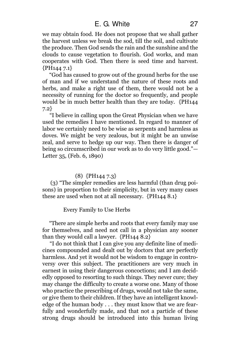# E. G. White 27

we may obtain food. He does not propose that we shall gather the harvest unless we break the sod, till the soil, and cultivate the produce. Then God sends the rain and the sunshine and the clouds to cause vegetation to flourish. God works, and man cooperates with God. Then there is seed time and harvest. {PH144 7.1}

"God has caused to grow out of the ground herbs for the use of man and if we understand the nature of these roots and herbs, and make a right use of them, there would not be a necessity of running for the doctor so frequently, and people would be in much better health than they are today. {PH144 7.2}

"I believe in calling upon the Great Physician when we have used the remedies I have mentioned. In regard to manner of labor we certainly need to be wise as serpents and harmless as doves. We might be very zealous, but it might be an unwise zeal, and serve to hedge up our way. Then there is danger of being so circumscribed in our work as to do very little good."— Letter 35, (Feb. 6, 1890)

# (8) {PH144 7.3}

(3) "The simpler remedies are less harmful (than drug poisons) in proportion to their simplicity, but in very many cases these are used when not at all necessary. {PH144 8.1}

Every Family to Use Herbs

"There are simple herbs and roots that every family may use for themselves, and need not call in a physician any sooner than they would call a lawyer. {PH144 8.2}

"I do not think that I can give you any definite line of medicines compounded and dealt out by doctors that are perfectly harmless. And yet it would not be wisdom to engage in controversy over this subject. The practitioners are very much in earnest in using their dangerous concoctions; and I am decidedly opposed to resorting to such things. They never cure; they may change the difficulty to create a worse one. Many of those who practice the prescribing of drugs, would not take the same, or give them to their children. If they have an intelligent knowledge of the human body . . . they must know that we are fearfully and wonderfully made, and that not a particle of these strong drugs should be introduced into this human living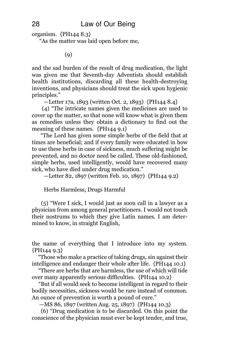organism. {PH144 8.3}

"As the matter was laid open before me,

(9)

and the sad burden of the result of drug medication, the light was given me that Seventh-day Adventists should establish health institutions, discarding all these health-destroying inventions, and physicians should treat the sick upon hygienic principles."

—Letter 17a, 1893 (written Oct. 2, 1893) {PH144 8.4}

(4) "The intricate names given the medicines are used to cover up the matter, so that none will know what is given them as remedies unless they obtain a dictionary to find out the meaning of these names. {PH144 9.1}

"The Lord has given some simple herbs of the field that at times are beneficial; and if every family were educated in how to use these herbs in case of sickness, much suffering might be prevented, and no doctor need be called. These old-fashioned, simple herbs, used intelligently, would have recovered many sick, who have died under drug medication."

—Letter 82, 1897 (written Feb. 10, 1897) {PH144 9.2}

Herbs Harmless, Drugs Harmful

(5) "Were I sick, I would just as soon call in a lawyer as a physician from among general practitioners. I would not touch their nostrums to which they give Latin names. I am determined to know, in straight English,

the name of everything that I introduce into my system. {PH144 9.3}

"Those who make a practice of taking drugs, sin against their intelligence and endanger their whole after life. {PH144 10.1}

"There are herbs that are harmless, the use of which will tide over many apparently serious difficulties. {PH144 10.2}

"But if all would seek to become intelligent in regard to their bodily necessities, sickness would be rare instead of common. An ounce of prevention is worth a pound of cure."

—MS 86, 1897 (written Aug. 25, 1897) {PH144 10.3}

(6) "Drug medication is to be discarded. On this point the conscience of the physician must ever be kept tender, and true,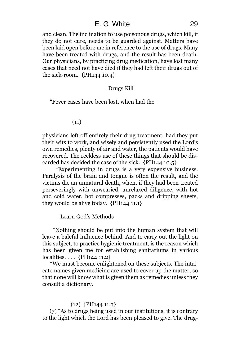# E. G. White 29

and clean. The inclination to use poisonous drugs, which kill, if they do not cure, needs to be guarded against. Matters have been laid open before me in reference to the use of drugs. Many have been treated with drugs, and the result has been death. Our physicians, by practicing drug medication, have lost many cases that need not have died if they had left their drugs out of the sick-room. {PH144 10.4}

### Drugs Kill

"Fever cases have been lost, when had the

(11)

physicians left off entirely their drug treatment, had they put their wits to work, and wisely and persistently used the Lord's own remedies, plenty of air and water, the patients would have recovered. The reckless use of these things that should be discarded has decided the case of the sick. {PH144 10.5}

"Experimenting in drugs is a very expensive business. Paralysis of the brain and tongue is often the result, and the victims die an unnatural death, when, if they had been treated perseveringly with unwearied, unrelaxed diligence, with hot and cold water, hot compresses, packs and dripping sheets, they would be alive today. {PH144 11.1}

Learn God's Methods

"Nothing should be put into the human system that will leave a baleful influence behind. And to carry out the light on this subject, to practice hygienic treatment, is the reason which has been given me for establishing sanitariums in various localities. . . . {PH144 11.2}

"We must become enlightened on these subjects. The intricate names given medicine are used to cover up the matter, so that none will know what is given them as remedies unless they consult a dictionary.

# (12) {PH144 11.3}

(7) "As to drugs being used in our institutions, it is contrary to the light which the Lord has been pleased to give. The drug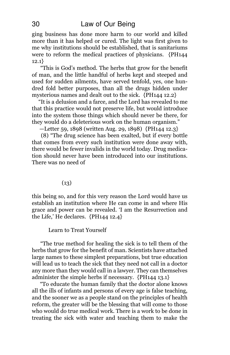ging business has done more harm to our world and killed more than it has helped or cured. The light was first given to me why institutions should be established, that is sanitariums were to reform the medical practices of physicians. {PH144 12.1}

"This is God's method. The herbs that grow for the benefit of man, and the little handful of herbs kept and steeped and used for sudden ailments, have served tenfold, yes, one hundred fold better purposes, than all the drugs hidden under mysterious names and dealt out to the sick. {PH144 12.2}

"It is a delusion and a farce, and the Lord has revealed to me that this practice would not preserve life, but would introduce into the system those things which should never be there, for they would do a deleterious work on the human organism."

—Letter 59, 1898 (written Aug. 29, 1898) {PH144 12.3}

(8) "The drug science has been exalted, but if every bottle that comes from every such institution were done away with, there would be fewer invalids in the world today. Drug medication should never have been introduced into our institutions. There was no need of

(13)

this being so, and for this very reason the Lord would have us establish an institution where He can come in and where His grace and power can be revealed. 'I am the Resurrection and the Life,' He declares. {PH144 12.4}

Learn to Treat Yourself

"The true method for healing the sick is to tell them of the herbs that grow for the benefit of man. Scientists have attached large names to these simplest preparations, but true education will lead us to teach the sick that they need not call in a doctor any more than they would call in a lawyer. They can themselves administer the simple herbs if necessary. {PH144 13.1}

"To educate the human family that the doctor alone knows all the ills of infants and persons of every age is false teaching, and the sooner we as a people stand on the principles of health reform, the greater will be the blessing that will come to those who would do true medical work. There is a work to be done in treating the sick with water and teaching them to make the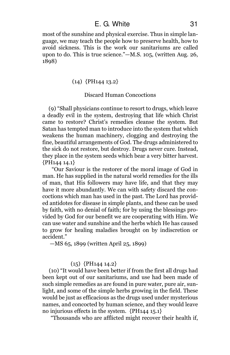most of the sunshine and physical exercise. Thus in simple language, we may teach the people how to preserve health, how to avoid sickness. This is the work our sanitariums are called upon to do. This is true science."—M.S. 105, (written Aug. 26, 1898)

# $(14)$  {PH144 13.2}

# Discard Human Concoctions

(9) "Shall physicians continue to resort to drugs, which leave a deadly evil in the system, destroying that life which Christ came to restore? Christ's remedies cleanse the system. But Satan has tempted man to introduce into the system that which weakens the human machinery, clogging and destroying the fine, beautiful arrangements of God. The drugs administered to the sick do not restore, but destroy. Drugs never cure. Instead, they place in the system seeds which bear a very bitter harvest. {PH144 14.1}

"Our Saviour is the restorer of the moral image of God in man. He has supplied in the natural world remedies for the ills of man, that His followers may have life, and that they may have it more abundantly. We can with safety discard the concoctions which man has used in the past. The Lord has provided antidotes for disease in simple plants, and these can be used by faith, with no denial of faith; for by using the blessings provided by God for our benefit we are cooperating with Him. We can use water and sunshine and the herbs which He has caused to grow for healing maladies brought on by indiscretion or accident."

—MS 65, 1899 (written April 25, 1899)

# $(15)$  {PH144 14.2}

(10) "It would have been better if from the first all drugs had been kept out of our sanitariums, and use had been made of such simple remedies as are found in pure water, pure air, sunlight, and some of the simple herbs growing in the field. These would be just as efficacious as the drugs used under mysterious names, and concocted by human science, and they would leave no injurious effects in the system. {PH144 15.1}

"Thousands who are afflicted might recover their health if,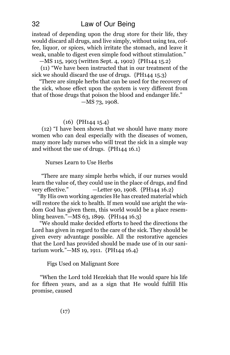instead of depending upon the drug store for their life, they would discard all drugs, and live simply, without using tea, coffee, liquor, or spices, which irritate the stomach, and leave it weak, unable to digest even simple food without stimulation."

—MS 115, 1903 (written Sept. 4, 1902) {PH144 15.2}

(11) "We have been instructed that in our treatment of the sick we should discard the use of drugs. {PH144 15.3}

"There are simple herbs that can be used for the recovery of the sick, whose effect upon the system is very different from that of those drugs that poison the blood and endanger life."

—MS 73, 1908.

# (16) {PH144 15.4}

(12) "I have been shown that we should have many more women who can deal especially with the diseases of women, many more lady nurses who will treat the sick in a simple way and without the use of drugs. {PH144 16.1}

Nurses Learn to Use Herbs

"There are many simple herbs which, if our nurses would learn the value of, they could use in the place of drugs, and find very effective." —Letter 90, 1908. {PH144 16.2}

"By His own working agencies He has created material which will restore the sick to health. If men would use aright the wisdom God has given them, this world would be a place resembling heaven."—MS 63, 1899. {PH144 16.3}

"We should make decided efforts to heed the directions the Lord has given in regard to the care of the sick. They should be given every advantage possible. All the restorative agencies that the Lord has provided should be made use of in our sanitarium work."—MS 19, 1911. {PH144 16.4}

Figs Used on Malignant Sore

"When the Lord told Hezekiah that He would spare his life for fifteen years, and as a sign that He would fulfill His promise, caused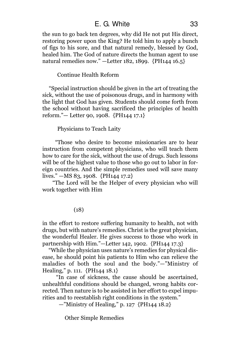# E. G. White 33

the sun to go back ten degrees, why did He not put His direct, restoring power upon the King? He told him to apply a bunch of figs to his sore, and that natural remedy, blessed by God, healed him. The God of nature directs the human agent to use natural remedies now." —Letter 182, 1899. {PH144 16.5}

### Continue Health Reform

"Special instruction should be given in the art of treating the sick, without the use of poisonous drugs, and in harmony with the light that God has given. Students should come forth from the school without having sacrificed the principles of health reform."— Letter 90, 1908. {PH144 17.1}

# Physicians to Teach Laity

"Those who desire to become missionaries are to hear instruction from competent physicians, who will teach them how to care for the sick, without the use of drugs. Such lessons will be of the highest value to those who go out to labor in foreign countries. And the simple remedies used will save many lives." —MS 83, 1908. {PH144 17.2}

"The Lord will be the Helper of every physician who will work together with Him

# (18)

in the effort to restore suffering humanity to health, not with drugs, but with nature's remedies. Christ is the great physician, the wonderful Healer. He gives success to those who work in partnership with Him."—Letter 142, 1902. {PH144 17.3}

"While the physician uses nature's remedies for physical disease, he should point his patients to Him who can relieve the maladies of both the soul and the body."—"Ministry of Healing," p. 111. {PH144 18.1}

"In case of sickness, the cause should be ascertained, unhealthful conditions should be changed, wrong habits corrected. Then nature is to be assisted in her effort to expel impurities and to reestablish right conditions in the system."

—"Ministry of Healing," p. 127 {PH144 18.2}

Other Simple Remedies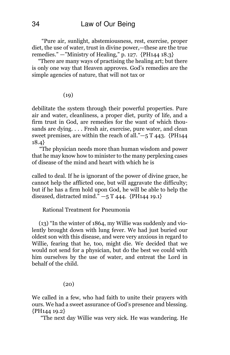"Pure air, sunlight, abstemiousness, rest, exercise, proper diet, the use of water, trust in divine power,—these are the true remedies." —"Ministry of Healing," p. 127. {PH144 18.3}

"There are many ways of practising the healing art; but there is only one way that Heaven approves. God's remedies are the simple agencies of nature, that will not tax or

### $(19)$

debilitate the system through their powerful properties. Pure air and water, cleanliness, a proper diet, purity of life, and a firm trust in God, are remedies for the want of which thousands are dying. . . . Fresh air, exercise, pure water, and clean sweet premises, are within the reach of all."—5 T 443. {PH144 18.4}

"The physician needs more than human wisdom and power that he may know how to minister to the many perplexing cases of disease of the mind and heart with which he is

called to deal. If he is ignorant of the power of divine grace, he cannot help the afflicted one, but will aggravate the difficulty; but if he has a firm hold upon God, he will be able to help the diseased, distracted mind."  $-5$  T 444. {PH144 19.1}

# Rational Treatment for Pneumonia

(13) "In the winter of 1864, my Willie was suddenly and violently brought down with lung fever. We had just buried our oldest son with this disease, and were very anxious in regard to Willie, fearing that he, too, might die. We decided that we would not send for a physician, but do the best we could with him ourselves by the use of water, and entreat the Lord in behalf of the child.

 $(20)$ 

We called in a few, who had faith to unite their prayers with ours. We had a sweet assurance of God's presence and blessing. {PH144 19.2}

"The next day Willie was very sick. He was wandering. He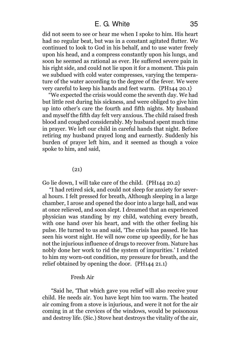did not seem to see or hear me when I spoke to him. His heart had no regular beat, but was in a constant agitated flutter. We continued to look to God in his behalf, and to use water freely upon his head, and a compress constantly upon his lungs, and soon he seemed as rational as ever. He suffered severe pain in his right side, and could not lie upon it for a moment. This pain we subdued with cold water compresses, varying the temperature of the water according to the degree of the fever. We were very careful to keep his hands and feet warm. {PH144 20.1}

"We expected the crisis would come the seventh day. We had but little rest during his sickness, and were obliged to give him up into other's care the fourth and fifth nights. My husband and myself the fifth day felt very anxious. The child raised fresh blood and coughed considerably. My husband spent much time in prayer. We left our child in careful hands that night. Before retiring my husband prayed long and earnestly. Suddenly his burden of prayer left him, and it seemed as though a voice spoke to him, and said,

(21)

Go lie down, I will take care of the child. {PH144 20.2}

"I had retired sick, and could not sleep for anxiety for several hours. I felt pressed for breath, Although sleeping in a large chamber, I arose and opened the door into a large hall, and was at once relieved, and soon slept. I dreamed that an experienced physician was standing by my child, watching every breath, with one hand over his heart, and with the other feeling his pulse. He turned to us and said, 'The crisis has passed. He has seen his worst night. He will now come up speedily, for he has not the injurious influence of drugs to recover from. Nature has nobly done her work to rid the system of impurities.' I related to him my worn-out condition, my pressure for breath, and the relief obtained by opening the door. {PH144 21.1}

### Fresh Air

"Said he, 'That which gave you relief will also receive your child. He needs air. You have kept him too warm. The heated air coming from a stove is injurious, and were it not for the air coming in at the crevices of the windows, would be poisonous and destroy life. (Sic.) Stove heat destroys the vitality of the air,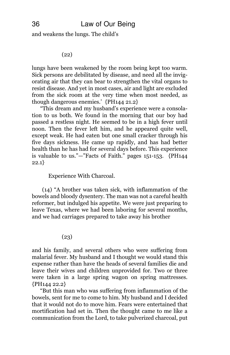and weakens the lungs. The child's

(22)

lungs have been weakened by the room being kept too warm. Sick persons are debilitated by disease, and need all the invigorating air that they can bear to strengthen the vital organs to resist disease. And yet in most cases, air and light are excluded from the sick room at the very time when most needed, as though dangerous enemies.' {PH144 21.2}

"This dream and my husband's experience were a consolation to us both. We found in the morning that our boy had passed a restless night. He seemed to be in a high fever until noon. Then the fever left him, and he appeared quite well, except weak. He had eaten but one small cracker through his five days sickness. He came up rapidly, and has had better health than he has had for several days before. This experience is valuable to us."—"Facts of Faith." pages 151-153. {PH144  $22.1$ }

Experience With Charcoal.

(14) "A brother was taken sick, with inflammation of the bowels and bloody dysentery. The man was not a careful health reformer, but indulged his appetite. We were just preparing to leave Texas, where we had been laboring for several months, and we had carriages prepared to take away his brother

(23)

and his family, and several others who were suffering from malarial fever. My husband and I thought we would stand this expense rather than have the heads of several families die and leave their wives and children unprovided for. Two or three were taken in a large spring wagon on spring mattresses. {PH144 22.2}

"But this man who was suffering from inflammation of the bowels, sent for me to come to him. My husband and I decided that it would not do to move him. Fears were entertained that mortification had set in. Then the thought came to me like a communication from the Lord, to take pulverized charcoal, put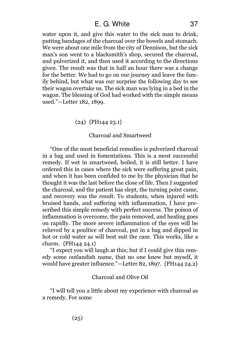water upon it, and give this water to the sick man to drink, putting bandages of the charcoal over the bowels and stomach. We were about one mile from the city of Dennison, but the sick man's son went to a blacksmith's shop, secured the charcoal, and pulverized it, and then used it according to the directions given. The result was that in half an hour there was a change for the better. We had to go on our journey and leave the family behind, but what was our surprise the following day to see their wagon overtake us. The sick man was lying in a bed in the wagon. The blessing of God had worked with the simple means used."—Letter 182, 1899.

# (24) {PH144 23.1}

#### Charcoal and Smartweed

"One of the most beneficial remedies is pulverized charcoal in a bag and used in fomentations. This is a most successful remedy. If wet in smartweed, boiled, it is still better. I have ordered this in cases where the sick were suffering great pain, and when it has been confided to me by the physician that he thought it was the last before the close of life. Then I suggested the charcoal, and the patient has slept, the turning point came, and recovery was the result. To students, when injured with bruised hands, and suffering with inflammation, I have prescribed this simple remedy with perfect success. The poison of inflammation is overcome, the pain removed, and healing goes on rapidly. The more severe inflammation of the eyes will be relieved by a poultice of charcoal, put in a bag and dipped in hot or cold water as will best suit the case. This works, like a charm. {PH144 24.1}

"I expect you will laugh at this; but if I could give this remedy some outlandish name, that no one knew but myself, it would have greater influence."—Letter 82, 1897. {PH144 24.2}

## Charcoal and Olive Oil

"I will tell you a little about my experience with charcoal as a remedy. For some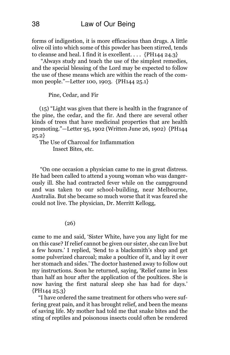forms of indigestion, it is more efficacious than drugs. A little olive oil into which some of this powder has been stirred, tends to cleanse and heal. I find it is excellent. . . .  ${PH144\ 24.3}$ 

"Always study and teach the use of the simplest remedies, and the special blessing of the Lord may be expected to follow the use of these means which are within the reach of the common people."—Letter 100, 1903. {PH144 25.1}

Pine, Cedar, and Fir

(15) "Light was given that there is health in the fragrance of the pine, the cedar, and the fir. And there are several other kinds of trees that have medicinal properties that are health promoting."—Letter 95, 1902 (Written June 26, 1902) {PH144 25.2}

The Use of Charcoal for Inflammation Insect Bites, etc.

"On one occasion a physician came to me in great distress. He had been called to attend a young woman who was dangerously ill. She had contracted fever while on the campground and was taken to our school-building, near Melbourne, Australia. But she became so much worse that it was feared she could not live. The physician, Dr. Merritt Kellogg,

(26)

came to me and said, 'Sister White, have you any light for me on this case? If relief cannot be given our sister, she can live but a few hours.' I replied, 'Send to a blacksmith's shop and get some pulverized charcoal; make a poultice of it, and lay it over her stomach and sides.' The doctor hastened away to follow out my instructions. Soon he returned, saying, 'Relief came in less than half an hour after the application of the poultices. She is now having the first natural sleep she has had for days.' {PH144 25.3}

"I have ordered the same treatment for others who were suffering great pain, and it has brought relief, and been the means of saving life. My mother had told me that snake bites and the sting of reptiles and poisonous insects could often be rendered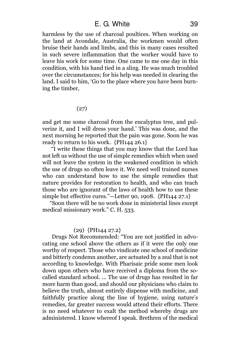harmless by the use of charcoal poultices. When working on the land at Avondale, Australia, the workmen would often bruise their hands and limbs, and this in many cases resulted in such severe inflammation that the worker would have to leave his work for some time. One came to me one day in this condition, with his hand tied in a sling. He was much troubled over the circumstances; for his help was needed in clearing the land. I said to him, 'Go to the place where you have been burning the timber,

# (27)

and get me some charcoal from the eucalyptus tree, and pulverize it, and I will dress your hand.' This was done, and the next morning he reported that the pain was gone. Soon he was ready to return to his work. {PH144 26.1}

"I write these things that you may know that the Lord has not left us without the use of simple remedies which when used will not leave the system in the weakened condition in which the use of drugs so often leave it. We need well trained nurses who can understand how to use the simple remedies that nature provides for restoration to health, and who can teach those who are ignorant of the laws of health how to use these simple but effective cures."—Letter 90, 1908. {PH144 27.1}

"Soon there will be no work done in ministerial lines except medical missionary work." C. H. 533.

### (29) {PH144 27.2}

Drugs Not Recommended: "You are not justified in advocating one school above the others as if it were the only one worthy of respect. Those who vindicate one school of medicine and bitterly condemn another, are actuated by a zeal that is not according to knowledge. With Pharisaic pride some men look down upon others who have received a diploma from the socalled standard school. ... The use of drugs has resulted in far more harm than good, and should our physicians who claim to believe the truth, almost entirely dispense with medicine, and faithfully practice along the line of hygiene, using nature's remedies, far greater success would attend their efforts. There is no need whatever to exalt the method whereby drugs are administered. I know whereof I speak. Brethren of the medical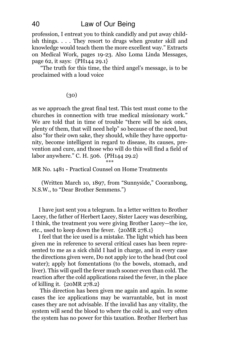profession, I entreat you to think candidly and put away childish things. . . . They resort to drugs when greater skill and knowledge would teach them the more excellent way." Extracts on Medical Work, pages 19-23. Also Loma Linda Messages, page 62, it says: {PH144 29.1}

"The truth for this time, the third angel's message, is to be proclaimed with a loud voice

## (30)

as we approach the great final test. This test must come to the churches in connection with true medical missionary work." We are told that in time of trouble "there will be sick ones, plenty of them, that will need help" so because of the need, but also "for their own sake, they should, while they have opportunity, become intelligent in regard to disease, its causes, prevention and cure, and those who will do this will find a field of labor anywhere." C. H. 506. {PH144 29.2} \*\*\*

MR No. 1481 - Practical Counsel on Home Treatments

(Written March 10, 1897, from "Sunnyside," Cooranbong, N.S.W., to "Dear Brother Semmens.")

I have just sent you a telegram. In a letter written to Brother Lacey, the father of Herbert Lacey, Sister Lacey was describing, I think, the treatment you were giving Brother Lacey—the ice, etc., used to keep down the fever. {20MR 278.1}

I feel that the ice used is a mistake. The light which has been given me in reference to several critical cases has been represented to me as a sick child I had in charge, and in every case the directions given were, Do not apply ice to the head (but cool water); apply hot fomentations (to the bowels, stomach, and liver). This will quell the fever much sooner even than cold. The reaction after the cold applications raised the fever, in the place of killing it. {20MR 278.2}

This direction has been given me again and again. In some cases the ice applications may be warrantable, but in most cases they are not advisable. If the invalid has any vitality, the system will send the blood to where the cold is, and very often the system has no power for this taxation. Brother Herbert has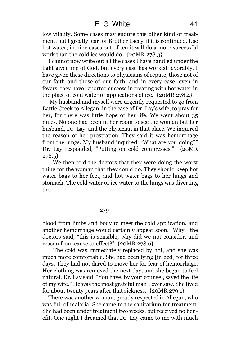# E. G. White 41

low vitality. Some cases may endure this other kind of treatment, but I greatly fear for Brother Lacey, if it is continued. Use hot water; in nine cases out of ten it will do a more successful work than the cold ice would do. {20MR 278.3}

I cannot now write out all the cases I have handled under the light given me of God, but every case has worked favorably. I have given these directions to physicians of repute, those not of our faith and those of our faith, and in every case, even in fevers, they have reported success in treating with hot water in the place of cold water or applications of ice. {20MR 278.4}

My husband and myself were urgently requested to go from Battle Creek to Allegan, in the case of Dr. Lay's wife, to pray for her, for there was little hope of her life. We went about 35 miles. No one had been in her room to see the woman but her husband, Dr. Lay, and the physician in that place. We inquired the reason of her prostration. They said it was hemorrhage from the lungs. My husband inquired, "What are you doing?" Dr. Lay responded, "Putting on cold compresses." {20MR 278.5}

We then told the doctors that they were doing the worst thing for the woman that they could do. They should keep hot water bags to her feet, and hot water bags to her lungs and stomach. The cold water or ice water to the lungs was diverting the

#### -279-

blood from limbs and body to meet the cold application, and another hemorrhage would certainly appear soon. "Why," the doctors said, "this is sensible; why did we not consider, and reason from cause to effect?" {20MR 278.6}

The cold was immediately replaced by hot, and she was much more comfortable. She had been lying [in bed] for three days. They had not dared to move her for fear of hemorrhage. Her clothing was removed the next day, and she began to feel natural. Dr. Lay said, "You have, by your counsel, saved the life of my wife." He was the most grateful man I ever saw. She lived for about twenty years after that sickness. {20MR 279.1}

There was another woman, greatly respected in Allegan, who was full of malaria. She came to the sanitarium for treatment. She had been under treatment two weeks, but received no benefit. One night I dreamed that Dr. Lay came to me with much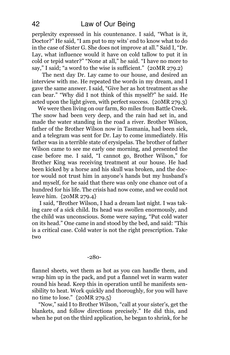perplexity expressed in his countenance. I said, "What is it, Doctor?" He said, "I am put to my wits' end to know what to do in the case of Sister G. She does not improve at all." Said I, "Dr. Lay, what influence would it have on cold tallow to put it in cold or tepid water?" "None at all," he said. "I have no more to say," I said; "a word to the wise is sufficient." {20MR 279.2}

The next day Dr. Lay came to our house, and desired an interview with me. He repeated the words in my dream, and I gave the same answer. I said, "Give her as hot treatment as she can bear." "Why did I not think of this myself?" he said. He acted upon the light given, with perfect success. {20MR 279.3}

We were then living on our farm, 80 miles from Battle Creek. The snow had been very deep, and the rain had set in, and made the water standing in the road a river. Brother Wilson, father of the Brother Wilson now in Tasmania, had been sick, and a telegram was sent for Dr. Lay to come immediately. His father was in a terrible state of erysipelas. The brother of father Wilson came to see me early one morning, and presented the case before me. I said, "I cannot go, Brother Wilson," for Brother King was receiving treatment at our house. He had been kicked by a horse and his skull was broken, and the doctor would not trust him in anyone's hands but my husband's and myself, for he said that there was only one chance out of a hundred for his life. The crisis had now come, and we could not leave him. {20MR 279.4}

I said, "Brother Wilson, I had a dream last night. I was taking care of a sick child. Its head was swollen enormously, and the child was unconscious. Some were saying, "Put cold water on its head." One came in and stood by the bed, and said: "This is a critical case. Cold water is not the right prescription. Take two

#### -280-

flannel sheets, wet them as hot as you can handle them, and wrap him up in the pack, and put a flannel wet in warm water round his head. Keep this in operation until he manifests sensibility to heat. Work quickly and thoroughly, for you will have no time to lose." {20MR 279.5}

"Now," said I to Brother Wilson, "call at your sister's, get the blankets, and follow directions precisely." He did this, and when he put on the third application, he began to shrink, for he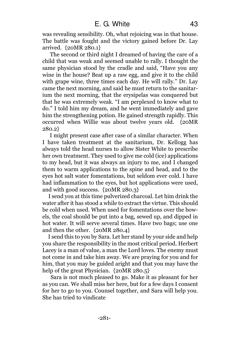was revealing sensibility. Oh, what rejoicing was in that house. The battle was fought and the victory gained before Dr. Lay arrived. {20MR 280.1}

The second or third night I dreamed of having the care of a child that was weak and seemed unable to rally. I thought the same physician stood by the cradle and said, "Have you any wine in the house? Beat up a raw egg, and give it to the child with grape wine, three times each day. He will rally." Dr. Lay came the next morning, and said he must return to the sanitarium the next morning, that the erysipelas was conquered but that he was extremely weak. "I am perplexed to know what to do." I told him my dream, and he went immediately and gave him the strengthening potion. He gained strength rapidly. This occurred when Willie was about twelve years old. {20MR 280.2}

I might present case after case of a similar character. When I have taken treatment at the sanitarium, Dr. Kellogg has always told the head nurses to allow Sister White to prescribe her own treatment. They used to give me cold (ice) applications to my head, but it was always an injury to me, and I changed them to warm applications to the spine and head, and to the eyes hot salt water fomentations, but seldom ever cold. I have had inflammation to the eyes, but hot applications were used, and with good success. {20MR 280.3}

I send you at this time pulverized charcoal. Let him drink the water after it has stood a while to extract the virtue. This should be cold when used. When used for fomentations over the bowels, the coal should be put into a bag, sewed up, and dipped in hot water. It will serve several times. Have two bags; use one and then the other. {20MR 280.4}

I send this to you by Sara. Let her stand by your side and help you share the responsibility in the most critical period. Herbert Lacey is a man of value, a man the Lord loves. The enemy must not come in and take him away. We are praying for you and for him, that you may be guided aright and that you may have the help of the great Physician.  ${20MR 280.5}$ 

Sara is not much pleased to go. Make it as pleasant for her as you can. We shall miss her here, but for a few days I consent for her to go to you. Counsel together, and Sara will help you. She has tried to vindicate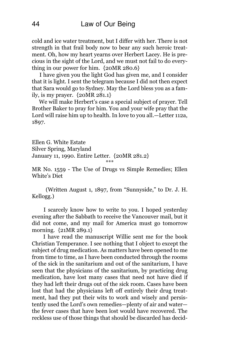cold and ice water treatment, but I differ with her. There is not strength in that frail body now to bear any such heroic treatment. Oh, how my heart yearns over Herbert Lacey. He is precious in the sight of the Lord, and we must not fail to do everything in our power for him. {20MR 280.6}

I have given you the light God has given me, and I consider that it is light. I sent the telegram because I did not then expect that Sara would go to Sydney. May the Lord bless you as a family, is my prayer. {20MR 281.1}

We will make Herbert's case a special subject of prayer. Tell Brother Baker to pray for him. You and your wife pray that the Lord will raise him up to health. In love to you all.—Letter 112a, 1897.

Ellen G. White Estate Silver Spring, Maryland January 11, 1990. Entire Letter. {20MR 281.2} \*\*\*

MR No. 1559 - The Use of Drugs vs Simple Remedies; Ellen White's Diet

(Written August 1, 1897, from "Sunnyside," to Dr. J. H. Kellogg.)

I scarcely know how to write to you. I hoped yesterday evening after the Sabbath to receive the Vancouver mail, but it did not come, and my mail for America must go tomorrow morning. {21MR 289.1}

I have read the manuscript Willie sent me for the book Christian Temperance. I see nothing that I object to except the subject of drug medication. As matters have been opened to me from time to time, as I have been conducted through the rooms of the sick in the sanitarium and out of the sanitarium, I have seen that the physicians of the sanitarium, by practicing drug medication, have lost many cases that need not have died if they had left their drugs out of the sick room. Cases have been lost that had the physicians left off entirely their drug treatment, had they put their wits to work and wisely and persistently used the Lord's own remedies—plenty of air and water the fever cases that have been lost would have recovered. The reckless use of those things that should be discarded has decid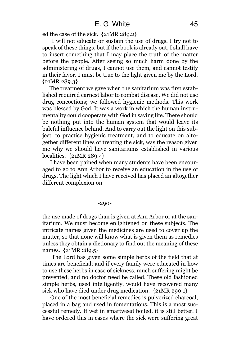ed the case of the sick. {21MR 289.2}

I will not educate or sustain the use of drugs. I try not to speak of these things, but if the book is already out, I shall have to insert something that I may place the truth of the matter before the people. After seeing so much harm done by the administering of drugs, I cannot use them, and cannot testify in their favor. I must be true to the light given me by the Lord. {21MR 289.3}

The treatment we gave when the sanitarium was first established required earnest labor to combat disease. We did not use drug concoctions; we followed hygienic methods. This work was blessed by God. It was a work in which the human instrumentality could cooperate with God in saving life. There should be nothing put into the human system that would leave its baleful influence behind. And to carry out the light on this subject, to practice hygienic treatment, and to educate on altogether different lines of treating the sick, was the reason given me why we should have sanitariums established in various localities. {21MR 289.4}

I have been pained when many students have been encouraged to go to Ann Arbor to receive an education in the use of drugs. The light which I have received has placed an altogether different complexion on

#### -290-

the use made of drugs than is given at Ann Arbor or at the sanitarium. We must become enlightened on these subjects. The intricate names given the medicines are used to cover up the matter, so that none will know what is given them as remedies unless they obtain a dictionary to find out the meaning of these names. {21MR 289.5}

The Lord has given some simple herbs of the field that at times are beneficial; and if every family were educated in how to use these herbs in case of sickness, much suffering might be prevented, and no doctor need be called. These old fashioned simple herbs, used intelligently, would have recovered many sick who have died under drug medication. {21MR 290.1}

One of the most beneficial remedies is pulverized charcoal, placed in a bag and used in fomentations. This is a most successful remedy. If wet in smartweed boiled, it is still better. I have ordered this in cases where the sick were suffering great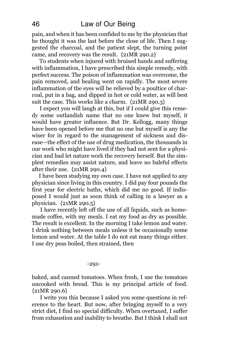pain, and when it has been confided to me by the physician that he thought it was the last before the close of life. Then I suggested the charcoal, and the patient slept, the turning point came, and recovery was the result. {21MR 290.2}

To students when injured with bruised hands and suffering with inflammation, I have prescribed this simple remedy, with perfect success. The poison of inflammation was overcome, the pain removed, and healing went on rapidly. The most severe inflammation of the eyes will be relieved by a poultice of charcoal, put in a bag, and dipped in hot or cold water, as will best suit the case. This works like a charm. {21MR 290.3}

I expect you will laugh at this, but if I could give this remedy some outlandish name that no one knew but myself, it would have greater influence. But Dr. Kellogg, many things have been opened before me that no one but myself is any the wiser for in regard to the management of sickness and disease—the effect of the use of drug medication, the thousands in our work who might have lived if they had not sent for a physician and had let nature work the recovery herself. But the simplest remedies may assist nature, and leave no baleful effects after their use. {21MR 290.4}

I have been studying my own case. I have not applied to any physician since living in this country. I did pay four pounds the first year for electric baths, which did me no good. If indisposed I would just as soon think of calling in a lawyer as a physician. {21MR 290.5}

I have recently left off the use of all liquids, such as homemade coffee, with my meals. I eat my food as dry as possible. The result is excellent. In the morning I take lemon and water. I drink nothing between meals unless it be occasionally some lemon and water. At the table I do not eat many things either. I use dry peas boiled, then strained, then

#### -291-

baked, and canned tomatoes. When fresh, I use the tomatoes uncooked with bread. This is my principal article of food.  ${21MR 290.6}$ 

I write you this because I asked you some questions in reference to the heart. But now, after bringing myself to a very strict diet, I find no special difficulty. When overtaxed, I suffer from exhaustion and inability to breathe. But I think I shall not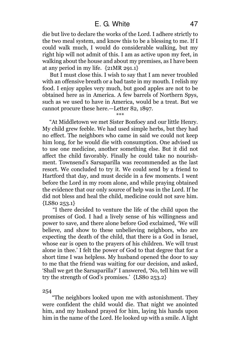die but live to declare the works of the Lord. I adhere strictly to the two meal system, and know this to be a blessing to me. If I could walk much, I would do considerable walking, but my right hip will not admit of this. I am as active upon my feet, in walking about the house and about my premises, as I have been at any period in my life. {21MR 291.1}

But I must close this. I wish to say that I am never troubled with an offensive breath or a bad taste in my mouth. I relish my food. I enjoy apples very much, but good apples are not to be obtained here as in America. A few barrels of Northern Spys, such as we used to have in America, would be a treat. But we cannot procure these here.—Letter 82, 1897.

\*\*\* "At Middletown we met Sister Bonfoey and our little Henry. My child grew feeble. We had used simple herbs, but they had no effect. The neighbors who came in said we could not keep him long, for he would die with consumption. One advised us to use one medicine, another something else. But it did not affect the child favorably. Finally he could take no nourishment. Townsend's Sarsaparilla was recommended as the last resort. We concluded to try it. We could send by a friend to Hartford that day, and must decide in a few moments. I went before the Lord in my room alone, and while praying obtained the evidence that our only source of help was in the Lord. If he did not bless and heal the child, medicine could not save him. {LS80 253.1}

"I there decided to venture the life of the child upon the promises of God. I had a lively sense of his willingness and power to save, and there alone before God exclaimed, 'We will believe, and show to these unbelieving neighbors, who are expecting the death of the child, that there is a God in Israel, whose ear is open to the prayers of his children. We will trust alone in thee.' I felt the power of God to that degree that for a short time I was helpless. My husband opened the door to say to me that the friend was waiting for our decision, and asked, 'Shall we get the Sarsaparilla?' I answered, 'No, tell him we will try the strength of God's promises.' {LS80 253.2}

254

"The neighbors looked upon me with astonishment. They were confident the child would die. That night we anointed him, and my husband prayed for him, laying his hands upon him in the name of the Lord. He looked up with a smile. A light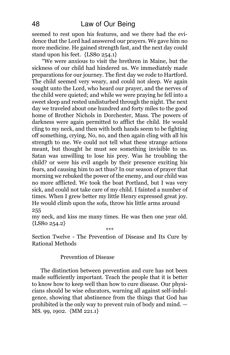seemed to rest upon his features, and we there had the evidence that the Lord had answered our prayers. We gave him no more medicine. He gained strength fast, and the next day could stand upon his feet. {LS80 254.1}

"We were anxious to visit the brethren in Maine, but the sickness of our child had hindered us. We immediately made preparations for our journey. The first day we rode to Hartford. The child seemed very weary, and could not sleep. We again sought unto the Lord, who heard our prayer, and the nerves of the child were quieted; and while we were praying he fell into a sweet sleep and rested undisturbed through the night. The next day we traveled about one hundred and forty miles to the good home of Brother Nichols in Dorchester, Mass. The powers of darkness were again permitted to afflict the child. He would cling to my neck, and then with both hands seem to be fighting off something, crying, No, no, and then again cling with all his strength to me. We could not tell what these strange actions meant, but thought he must see something invisible to us. Satan was unwilling to lose his prey. Was he troubling the child? or were his evil angels by their presence exciting his fears, and causing him to act thus? In our season of prayer that morning we rebuked the power of the enemy, and our child was no more afflicted. We took the boat Portland, but I was very sick, and could not take care of my child. I fainted a number of times. When I grew better my little Henry expressed great joy. He would climb upon the sofa, throw his little arms around 255

my neck, and kiss me many times. He was then one year old.  ${LSSo 254.2}$ 

\*\*\*

Section Twelve - The Prevention of Disease and Its Cure by Rational Methods

Prevention of Disease

The distinction between prevention and cure has not been made sufficiently important. Teach the people that it is better to know how to keep well than how to cure disease. Our physicians should be wise educators, warning all against self-indulgence, showing that abstinence from the things that God has prohibited is the only way to prevent ruin of body and mind. — MS. 99, 1902. {MM 221.1}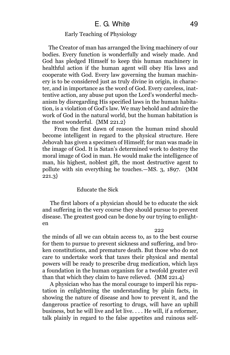## Early Teaching of Physiology

The Creator of man has arranged the living machinery of our bodies. Every function is wonderfully and wisely made. And God has pledged Himself to keep this human machinery in healthful action if the human agent will obey His laws and cooperate with God. Every law governing the human machinery is to be considered just as truly divine in origin, in character, and in importance as the word of God. Every careless, inattentive action, any abuse put upon the Lord's wonderful mechanism by disregarding His specified laws in the human habitation, is a violation of God's law. We may behold and admire the work of God in the natural world, but the human habitation is the most wonderful. {MM 221.2}

From the first dawn of reason the human mind should become intelligent in regard to the physical structure. Here Jehovah has given a specimen of Himself; for man was made in the image of God. It is Satan's determined work to destroy the moral image of God in man. He would make the intelligence of man, his highest, noblest gift, the most destructive agent to pollute with sin everything he touches.—MS. 3, 1897. {MM 221.3}

### Educate the Sick

The first labors of a physician should be to educate the sick and suffering in the very course they should pursue to prevent disease. The greatest good can be done by our trying to enlighten

#### 222

the minds of all we can obtain access to, as to the best course for them to pursue to prevent sickness and suffering, and broken constitutions, and premature death. But those who do not care to undertake work that taxes their physical and mental powers will be ready to prescribe drug medication, which lays a foundation in the human organism for a twofold greater evil than that which they claim to have relieved. {MM 221.4}

A physician who has the moral courage to imperil his reputation in enlightening the understanding by plain facts, in showing the nature of disease and how to prevent it, and the dangerous practice of resorting to drugs, will have an uphill business, but he will live and let live. . . . He will, if a reformer, talk plainly in regard to the false appetites and ruinous self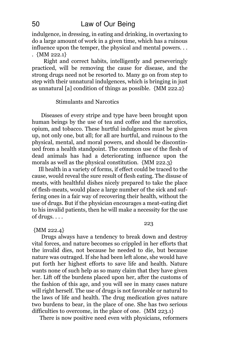indulgence, in dressing, in eating and drinking, in overtaxing to do a large amount of work in a given time, which has a ruinous influence upon the temper, the physical and mental powers. . . . {MM 222.1}

Right and correct habits, intelligently and perseveringly practiced, will be removing the cause for disease, and the strong drugs need not be resorted to. Many go on from step to step with their unnatural indulgences, which is bringing in just as unnatural [a] condition of things as possible. {MM 222.2}

## Stimulants and Narcotics

Diseases of every stripe and type have been brought upon human beings by the use of tea and coffee and the narcotics, opium, and tobacco. These hurtful indulgences must be given up, not only one, but all; for all are hurtful, and ruinous to the physical, mental, and moral powers, and should be discontinued from a health standpoint. The common use of the flesh of dead animals has had a deteriorating influence upon the morals as well as the physical constitution. {MM 222.3}

Ill health in a variety of forms, if effect could be traced to the cause, would reveal the sure result of flesh eating. The disuse of meats, with healthful dishes nicely prepared to take the place of flesh-meats, would place a large number of the sick and suffering ones in a fair way of recovering their health, without the use of drugs. But if the physician encourages a meat-eating diet to his invalid patients, then he will make a necessity for the use of drugs. . . .

223

{MM 222.4}

Drugs always have a tendency to break down and destroy vital forces, and nature becomes so crippled in her efforts that the invalid dies, not because he needed to die, but because nature was outraged. If she had been left alone, she would have put forth her highest efforts to save life and health. Nature wants none of such help as so many claim that they have given her. Lift off the burdens placed upon her, after the customs of the fashion of this age, and you will see in many cases nature will right herself. The use of drugs is not favorable or natural to the laws of life and health. The drug medication gives nature two burdens to bear, in the place of one. She has two serious difficulties to overcome, in the place of one. {MM 223.1}

There is now positive need even with physicians, reformers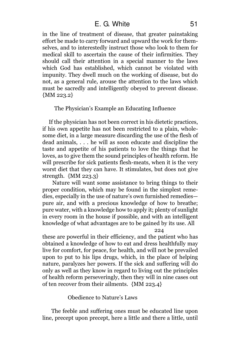in the line of treatment of disease, that greater painstaking effort be made to carry forward and upward the work for themselves, and to interestedly instruct those who look to them for medical skill to ascertain the cause of their infirmities. They should call their attention in a special manner to the laws which God has established, which cannot be violated with impunity. They dwell much on the working of disease, but do not, as a general rule, arouse the attention to the laws which must be sacredly and intelligently obeyed to prevent disease.  ${MM 223.2}$ 

The Physician's Example an Educating Influence

If the physician has not been correct in his dietetic practices, if his own appetite has not been restricted to a plain, wholesome diet, in a large measure discarding the use of the flesh of dead animals, . . . he will as soon educate and discipline the taste and appetite of his patients to love the things that he loves, as to give them the sound principles of health reform. He will prescribe for sick patients flesh-meats, when it is the very worst diet that they can have. It stimulates, but does not give strength. {MM 223.3}

Nature will want some assistance to bring things to their proper condition, which may be found in the simplest remedies, especially in the use of nature's own furnished remedies pure air, and with a precious knowledge of how to breathe; pure water, with a knowledge how to apply it; plenty of sunlight in every room in the house if possible, and with an intelligent knowledge of what advantages are to be gained by its use. All

224

these are powerful in their efficiency, and the patient who has obtained a knowledge of how to eat and dress healthfully may live for comfort, for peace, for health, and will not be prevailed upon to put to his lips drugs, which, in the place of helping nature, paralyzes her powers. If the sick and suffering will do only as well as they know in regard to living out the principles of health reform perseveringly, then they will in nine cases out of ten recover from their ailments. {MM 223.4}

# Obedience to Nature's Laws

The feeble and suffering ones must be educated line upon line, precept upon precept, here a little and there a little, until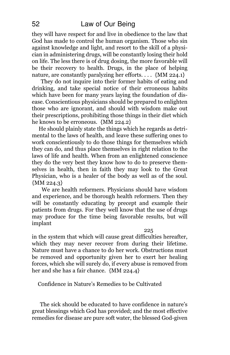# 52 Law of Our Being

they will have respect for and live in obedience to the law that God has made to control the human organism. Those who sin against knowledge and light, and resort to the skill of a physician in administering drugs, will be constantly losing their hold on life. The less there is of drug dosing, the more favorable will be their recovery to health. Drugs, in the place of helping nature, are constantly paralyzing her efforts. . . .  $\{MM\ 224.1\}$ 

They do not inquire into their former habits of eating and drinking, and take special notice of their erroneous habits which have been for many years laying the foundation of disease. Conscientious physicians should be prepared to enlighten those who are ignorant, and should with wisdom make out their prescriptions, prohibiting those things in their diet which he knows to be erroneous. {MM 224.2}

He should plainly state the things which he regards as detrimental to the laws of health, and leave these suffering ones to work conscientiously to do those things for themselves which they can do, and thus place themselves in right relation to the laws of life and health. When from an enlightened conscience they do the very best they know how to do to preserve themselves in health, then in faith they may look to the Great Physician, who is a healer of the body as well as of the soul. {MM 224.3}

We are health reformers. Physicians should have wisdom and experience, and be thorough health reformers. Then they will be constantly educating by precept and example their patients from drugs. For they well know that the use of drugs may produce for the time being favorable results, but will implant

#### 225

in the system that which will cause great difficulties hereafter, which they may never recover from during their lifetime. Nature must have a chance to do her work. Obstructions must be removed and opportunity given her to exert her healing forces, which she will surely do, if every abuse is removed from her and she has a fair chance. {MM 224.4}

Confidence in Nature's Remedies to be Cultivated

The sick should be educated to have confidence in nature's great blessings which God has provided; and the most effective remedies for disease are pure soft water, the blessed God-given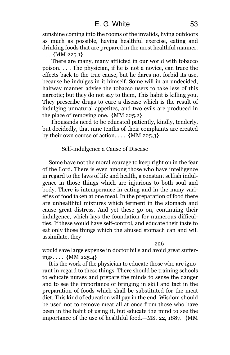sunshine coming into the rooms of the invalids, living outdoors as much as possible, having healthful exercise, eating and drinking foods that are prepared in the most healthful manner.  $\ldots$  {MM 225.1}

There are many, many afflicted in our world with tobacco poison. . . . The physician, if he is not a novice, can trace the effects back to the true cause, but he dares not forbid its use, because he indulges in it himself. Some will in an undecided, halfway manner advise the tobacco users to take less of this narcotic; but they do not say to them, This habit is killing you. They prescribe drugs to cure a disease which is the result of indulging unnatural appetites, and two evils are produced in the place of removing one. {MM 225.2}

Thousands need to be educated patiently, kindly, tenderly, but decidedly, that nine tenths of their complaints are created by their own course of action.  $\ldots$  {MM 225.3}

### Self-indulgence a Cause of Disease

Some have not the moral courage to keep right on in the fear of the Lord. There is even among those who have intelligence in regard to the laws of life and health, a constant selfish indulgence in those things which are injurious to both soul and body. There is intemperance in eating and in the many varieties of food taken at one meal. In the preparation of food there are unhealthful mixtures which ferment in the stomach and cause great distress. And yet these go on, continuing their indulgence, which lays the foundation for numerous difficulties. If these would have self-control, and educate their taste to eat only those things which the abused stomach can and will assimilate, they

#### 226

would save large expense in doctor bills and avoid great sufferings. . . . {MM 225.4}

It is the work of the physician to educate those who are ignorant in regard to these things. There should be training schools to educate nurses and prepare the minds to sense the danger and to see the importance of bringing in skill and tact in the preparation of foods which shall be substituted for the meat diet. This kind of education will pay in the end. Wisdom should be used not to remove meat all at once from those who have been in the habit of using it, but educate the mind to see the importance of the use of healthful food.—MS. 22, 1887. {MM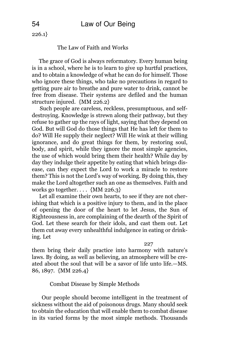$226.1$ 

### The Law of Faith and Works

The grace of God is always reformatory. Every human being is in a school, where he is to learn to give up hurtful practices, and to obtain a knowledge of what he can do for himself. Those who ignore these things, who take no precautions in regard to getting pure air to breathe and pure water to drink, cannot be free from disease. Their systems are defiled and the human structure injured. {MM 226.2}

Such people are careless, reckless, presumptuous, and selfdestroying. Knowledge is strewn along their pathway, but they refuse to gather up the rays of light, saying that they depend on God. But will God do those things that He has left for them to do? Will He supply their neglect? Will He wink at their willing ignorance, and do great things for them, by restoring soul, body, and spirit, while they ignore the most simple agencies, the use of which would bring them their health? While day by day they indulge their appetite by eating that which brings disease, can they expect the Lord to work a miracle to restore them? This is not the Lord's way of working. By doing this, they make the Lord altogether such an one as themselves. Faith and works go together. . . . {MM 226.3}

Let all examine their own hearts, to see if they are not cherishing that which is a positive injury to them, and in the place of opening the door of the heart to let Jesus, the Sun of Righteousness in, are complaining of the dearth of the Spirit of God. Let these search for their idols, and cast them out. Let them cut away every unhealthful indulgence in eating or drinking. Let

227

them bring their daily practice into harmony with nature's laws. By doing, as well as believing, an atmosphere will be created about the soul that will be a savor of life unto life.—MS. 86, 1897. {MM 226.4}

Combat Disease by Simple Methods

Our people should become intelligent in the treatment of sickness without the aid of poisonous drugs. Many should seek to obtain the education that will enable them to combat disease in its varied forms by the most simple methods. Thousands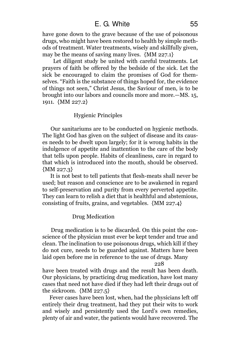# E. G. White 55

have gone down to the grave because of the use of poisonous drugs, who might have been restored to health by simple methods of treatment. Water treatments, wisely and skillfully given, may be the means of saving many lives. {MM 227.1}

Let diligent study be united with careful treatments. Let prayers of faith be offered by the bedside of the sick. Let the sick be encouraged to claim the promises of God for themselves. "Faith is the substance of things hoped for, the evidence of things not seen," Christ Jesus, the Saviour of men, is to be brought into our labors and councils more and more.—MS. 15, 1911. {MM 227.2}

### Hygienic Principles

Our sanitariums are to be conducted on hygienic methods. The light God has given on the subject of disease and its causes needs to be dwelt upon largely; for it is wrong habits in the indulgence of appetite and inattention to the care of the body that tells upon people. Habits of cleanliness, care in regard to that which is introduced into the mouth, should be observed. {MM 227.3}

It is not best to tell patients that flesh-meats shall never be used; but reason and conscience are to be awakened in regard to self-preservation and purity from every perverted appetite. They can learn to relish a diet that is healthful and abstemious, consisting of fruits, grains, and vegetables. {MM 227.4}

### Drug Medication

Drug medication is to be discarded. On this point the conscience of the physician must ever be kept tender and true and clean. The inclination to use poisonous drugs, which kill if they do not cure, needs to be guarded against. Matters have been laid open before me in reference to the use of drugs. Many

228

have been treated with drugs and the result has been death. Our physicians, by practicing drug medication, have lost many cases that need not have died if they had left their drugs out of the sickroom. {MM 227.5}

Fever cases have been lost, when, had the physicians left off entirely their drug treatment, had they put their wits to work and wisely and persistently used the Lord's own remedies, plenty of air and water, the patients would have recovered. The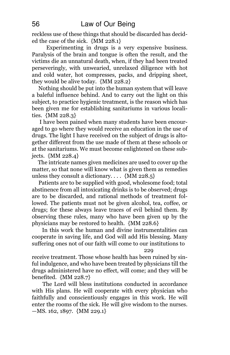reckless use of these things that should be discarded has decided the case of the sick. {MM 228.1}

Experimenting in drugs is a very expensive business. Paralysis of the brain and tongue is often the result, and the victims die an unnatural death, when, if they had been treated perseveringly, with unwearied, unrelaxed diligence with hot and cold water, hot compresses, packs, and dripping sheet, they would be alive today. {MM 228.2}

Nothing should be put into the human system that will leave a baleful influence behind. And to carry out the light on this subject, to practice hygienic treatment, is the reason which has been given me for establishing sanitariums in various localities. {MM 228.3}

I have been pained when many students have been encouraged to go where they would receive an education in the use of drugs. The light I have received on the subject of drugs is altogether different from the use made of them at these schools or at the sanitariums. We must become enlightened on these subjects. {MM 228.4}

The intricate names given medicines are used to cover up the matter, so that none will know what is given them as remedies unless they consult a dictionary.  $\dots$  {MM 228.5}

Patients are to be supplied with good, wholesome food; total abstinence from all intoxicating drinks is to be observed; drugs are to be discarded, and rational methods of treatment followed. The patients must not be given alcohol, tea, coffee, or drugs; for these always leave traces of evil behind them. By observing these rules, many who have been given up by the physicians may be restored to health. {MM 228.6}

In this work the human and divine instrumentalities can cooperate in saving life, and God will add His blessing. Many suffering ones not of our faith will come to our institutions to

229

receive treatment. Those whose health has been ruined by sinful indulgence, and who have been treated by physicians till the drugs administered have no effect, will come; and they will be benefited. {MM 228.7}

The Lord will bless institutions conducted in accordance with His plans. He will cooperate with every physician who faithfully and conscientiously engages in this work. He will enter the rooms of the sick. He will give wisdom to the nurses. —MS. 162, 1897. {MM 229.1}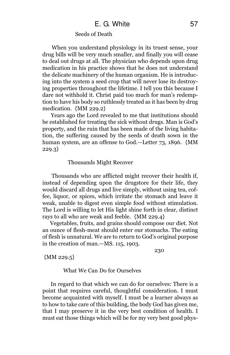### Seeds of Death

When you understand physiology in its truest sense, your drug bills will be very much smaller, and finally you will cease to deal out drugs at all. The physician who depends upon drug medication in his practice shows that he does not understand the delicate machinery of the human organism. He is introducing into the system a seed crop that will never lose its destroying properties throughout the lifetime. I tell you this because I dare not withhold it. Christ paid too much for man's redemption to have his body so ruthlessly treated as it has been by drug medication. {MM 229.2}

Years ago the Lord revealed to me that institutions should be established for treating the sick without drugs. Man is God's property, and the ruin that has been made of the living habitation, the suffering caused by the seeds of death sown in the human system, are an offense to God.—Letter 73, 1896. {MM 229.3}

#### Thousands Might Recover

Thousands who are afflicted might recover their health if, instead of depending upon the drugstore for their life, they would discard all drugs and live simply, without using tea, coffee, liquor, or spices, which irritate the stomach and leave it weak, unable to digest even simple food without stimulation. The Lord is willing to let His light shine forth in clear, distinct rays to all who are weak and feeble. {MM 229.4}

Vegetables, fruits, and grains should compose our diet. Not an ounce of flesh-meat should enter our stomachs. The eating of flesh is unnatural. We are to return to God's original purpose in the creation of man.—MS. 115, 1903.

{MM 229.5}

230

#### What We Can Do for Ourselves

In regard to that which we can do for ourselves: There is a point that requires careful, thoughtful consideration. I must become acquainted with myself. I must be a learner always as to how to take care of this building, the body God has given me, that I may preserve it in the very best condition of health. I must eat those things which will be for my very best good phys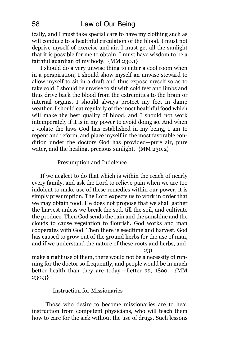ically, and I must take special care to have my clothing such as will conduce to a healthful circulation of the blood. I must not deprive myself of exercise and air. I must get all the sunlight that it is possible for me to obtain. I must have wisdom to be a faithful guardian of my body.  $\{MM 230.1\}$ 

I should do a very unwise thing to enter a cool room when in a perspiration; I should show myself an unwise steward to allow myself to sit in a draft and thus expose myself so as to take cold. I should be unwise to sit with cold feet and limbs and thus drive back the blood from the extremities to the brain or internal organs. I should always protect my feet in damp weather. I should eat regularly of the most healthful food which will make the best quality of blood, and I should not work intemperately if it is in my power to avoid doing so. And when I violate the laws God has established in my being, I am to repent and reform, and place myself in the most favorable condition under the doctors God has provided—pure air, pure water, and the healing, precious sunlight. {MM 230.2}

### Presumption and Indolence

If we neglect to do that which is within the reach of nearly every family, and ask the Lord to relieve pain when we are too indolent to make use of these remedies within our power, it is simply presumption. The Lord expects us to work in order that we may obtain food. He does not propose that we shall gather the harvest unless we break the sod, till the soil, and cultivate the produce. Then God sends the rain and the sunshine and the clouds to cause vegetation to flourish. God works and man cooperates with God. Then there is seedtime and harvest. God has caused to grow out of the ground herbs for the use of man, and if we understand the nature of these roots and herbs, and

231

make a right use of them, there would not be a necessity of running for the doctor so frequently, and people would be in much better health than they are today.—Letter 35, 1890. {MM 230.3}

## Instruction for Missionaries

Those who desire to become missionaries are to hear instruction from competent physicians, who will teach them how to care for the sick without the use of drugs. Such lessons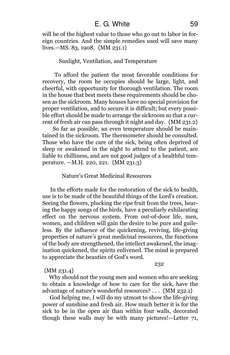will be of the highest value to those who go out to labor in foreign countries. And the simple remedies used will save many lives.—MS. 83, 1908. {MM 231.1}

### Sunlight, Ventilation, and Temperature

To afford the patient the most favorable conditions for recovery, the room he occupies should be large, light, and cheerful, with opportunity for thorough ventilation. The room in the house that best meets these requirements should be chosen as the sickroom. Many houses have no special provision for proper ventilation, and to secure it is difficult; but every possible effort should be made to arrange the sickroom so that a current of fresh air can pass through it night and day. {MM 231.2}

So far as possible, an even temperature should be maintained in the sickroom. The thermometer should be consulted. Those who have the care of the sick, being often deprived of sleep or awakened in the night to attend to the patient, are liable to chilliness, and are not good judges of a healthful temperature. —M.H. 220, 221. {MM 231.3}

# Nature's Great Medicinal Resources

In the efforts made for the restoration of the sick to health, use is to be made of the beautiful things of the Lord's creation. Seeing the flowers, plucking the ripe fruit from the trees, hearing the happy songs of the birds, have a peculiarly exhilarating effect on the nervous system. From out-of-door life, men, women, and children will gain the desire to be pure and guileless. By the influence of the quickening, reviving, life-giving properties of nature's great medicinal resources, the functions of the body are strengthened, the intellect awakened, the imagination quickened, the spirits enlivened. The mind is prepared to appreciate the beauties of God's word.

#### 232

#### {MM 231.4}

Why should not the young men and women who are seeking to obtain a knowledge of how to care for the sick, have the advantage of nature's wonderful resources? . . . {MM 232.1}

God helping me, I will do my utmost to show the life-giving power of sunshine and fresh air. How much better it is for the sick to be in the open air than within four walls, decorated though these walls may be with many pictures!—Letter 71,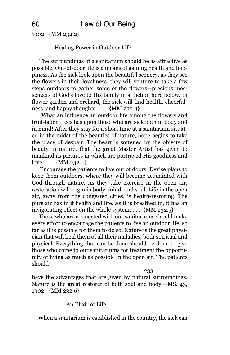1902. {MM 232.2}

# Healing Power in Outdoor Life

The surroundings of a sanitarium should be as attractive as possible. Out-of-door life is a means of gaining health and happiness. As the sick look upon the beautiful scenery, as they see the flowers in their loveliness, they will venture to take a few steps outdoors to gather some of the flowers—precious messengers of God's love to His family in affliction here below. In flower garden and orchard, the sick will find health, cheerfulness, and happy thoughts.  $\ldots$  {MM 232.3}

What an influence an outdoor life among the flowers and fruit-laden trees has upon those who are sick both in body and in mind! After they stay for a short time at a sanitarium situated in the midst of the beauties of nature, hope begins to take the place of despair. The heart is softened by the objects of beauty in nature, that the great Master Artist has given to mankind as pictures in which are portrayed His goodness and love. . . . {MM 232.4}

Encourage the patients to live out of doors. Devise plans to keep them outdoors, where they will become acquainted with God through nature. As they take exercise in the open air, restoration will begin in body, mind, and soul. Life in the open air, away from the congested cities, is health-restoring. The pure air has in it health and life. As it is breathed in, it has an invigorating effect on the whole system. . . . {MM 232.5}

Those who are connected with our sanitariums should make every effort to encourage the patients to live an outdoor life, so far as it is possible for them to do so. Nature is the great physician that will heal them of all their maladies, both spiritual and physical. Everything that can be done should be done to give those who come to our sanitariums for treatment the opportunity of living as much as possible in the open air. The patients should

233

have the advantages that are given by natural surroundings. Nature is the great restorer of both soul and body.—MS. 43, 1902. {MM 232.6}

# An Elixir of Life

When a sanitarium is established in the country, the sick can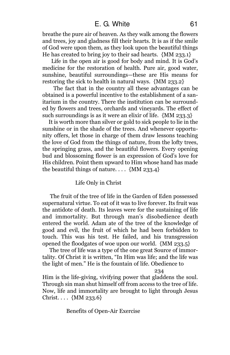# E. G. White 61

breathe the pure air of heaven. As they walk among the flowers and trees, joy and gladness fill their hearts. It is as if the smile of God were upon them, as they look upon the beautiful things He has created to bring joy to their sad hearts. {MM 233.1}

Life in the open air is good for body and mind. It is God's medicine for the restoration of health. Pure air, good water, sunshine, beautiful surroundings—these are His means for restoring the sick to health in natural ways. {MM 233.2}

The fact that in the country all these advantages can be obtained is a powerful incentive to the establishment of a sanitarium in the country. There the institution can be surrounded by flowers and trees, orchards and vineyards. The effect of such surroundings is as it were an elixir of life. {MM 233.3}

It is worth more than silver or gold to sick people to lie in the sunshine or in the shade of the trees. And whenever opportunity offers, let those in charge of them draw lessons teaching the love of God from the things of nature, from the lofty trees, the springing grass, and the beautiful flowers. Every opening bud and blossoming flower is an expression of God's love for His children. Point them upward to Him whose hand has made the beautiful things of nature....  $\{MM$  233.4 $\}$ 

### Life Only in Christ

The fruit of the tree of life in the Garden of Eden possessed supernatural virtue. To eat of it was to live forever. Its fruit was the antidote of death. Its leaves were for the sustaining of life and immortality. But through man's disobedience death entered the world. Adam ate of the tree of the knowledge of good and evil, the fruit of which he had been forbidden to touch. This was his test. He failed, and his transgression opened the floodgates of woe upon our world. {MM 233.5}

The tree of life was a type of the one great Source of immortality. Of Christ it is written, "In Him was life; and the life was the light of men." He is the fountain of life. Obedience to

#### 234

Him is the life-giving, vivifying power that gladdens the soul. Through sin man shut himself off from access to the tree of life. Now, life and immortality are brought to light through Jesus Christ. . . . {MM 233.6}

Benefits of Open-Air Exercise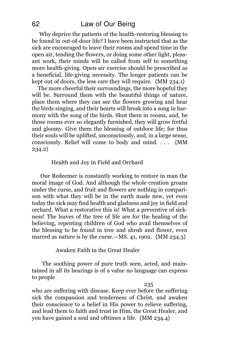Why deprive the patients of the health-restoring blessing to be found in out-of-door life? I have been instructed that as the sick are encouraged to leave their rooms and spend time in the open air, tending the flowers, or doing some other light, pleasant work, their minds will be called from self to something more health-giving. Open-air exercise should be prescribed as a beneficial, life-giving necessity. The longer patients can be kept out of doors, the less care they will require. {MM 234.1}

The more cheerful their surroundings, the more hopeful they will be. Surround them with the beautiful things of nature, place them where they can see the flowers growing and hear the birds singing, and their hearts will break into a song in harmony with the song of the birds. Shut them in rooms, and, be those rooms ever so elegantly furnished, they will grow fretful and gloomy. Give them the blessing of outdoor life; for thus their souls will be uplifted, unconsciously, and, in a large sense, consciously. Relief will come to body and mind. . . . {MM 234.2}

### Health and Joy in Field and Orchard

Our Redeemer is constantly working to restore in man the moral image of God. And although the whole creation groans under the curse, and fruit and flowers are nothing in comparison with what they will be in the earth made new, yet even today the sick may find health and gladness and joy in field and orchard. What a restorative this is! What a preventive of sickness! The leaves of the tree of life are for the healing of the believing, repenting children of God who avail themselves of the blessing to be found in tree and shrub and flower, even marred as nature is by the curse.—MS. 41, 1902.  $\{MM 234.3\}$ 

Awaken Faith in the Great Healer

The soothing power of pure truth seen, acted, and maintained in all its bearings is of a value no language can express to people

235

who are suffering with disease. Keep ever before the suffering sick the compassion and tenderness of Christ, and awaken their conscience to a belief in His power to relieve suffering, and lead them to faith and trust in Him, the Great Healer, and you have gained a soul and ofttimes a life. {MM 234.4}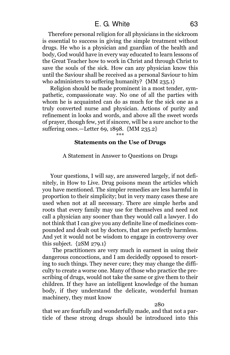# E. G. White 63

Therefore personal religion for all physicians in the sickroom is essential to success in giving the simple treatment without drugs. He who is a physician and guardian of the health and body, God would have in every way educated to learn lessons of the Great Teacher how to work in Christ and through Christ to save the souls of the sick. How can any physician know this until the Saviour shall be received as a personal Saviour to him who administers to suffering humanity? {MM 235.1}

Religion should be made prominent in a most tender, sympathetic, compassionate way. No one of all the parties with whom he is acquainted can do as much for the sick one as a truly converted nurse and physician. Actions of purity and refinement in looks and words, and above all the sweet words of prayer, though few, yet if sincere, will be a sure anchor to the suffering ones.—Letter 69, 1898. {MM 235.2}

\*\*\*

#### Statements on the Use of Drugs

A Statement in Answer to Questions on Drugs

Your questions, I will say, are answered largely, if not definitely, in How to Live. Drug poisons mean the articles which you have mentioned. The simpler remedies are less harmful in proportion to their simplicity; but in very many cases these are used when not at all necessary. There are simple herbs and roots that every family may use for themselves and need not call a physician any sooner than they would call a lawyer. I do not think that I can give you any definite line of medicines compounded and dealt out by doctors, that are perfectly harmless. And yet it would not be wisdom to engage in controversy over this subject.  ${2SM 279.1}$ 

The practitioners are very much in earnest in using their dangerous concoctions, and I am decidedly opposed to resorting to such things. They never cure; they may change the difficulty to create a worse one. Many of those who practice the prescribing of drugs, would not take the same or give them to their children. If they have an intelligent knowledge of the human body, if they understand the delicate, wonderful human machinery, they must know

280

that we are fearfully and wonderfully made, and that not a particle of these strong drugs should be introduced into this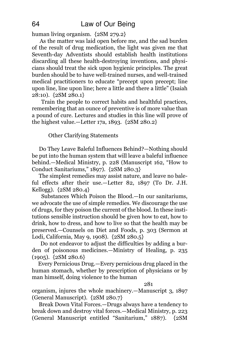human living organism. {2SM 279.2}

As the matter was laid open before me, and the sad burden of the result of drug medication, the light was given me that Seventh-day Adventists should establish health institutions discarding all these health-destroying inventions, and physicians should treat the sick upon hygienic principles. The great burden should be to have well-trained nurses, and well-trained medical practitioners to educate "precept upon precept; line upon line, line upon line; here a little and there a little" (Isaiah 28:10). {2SM 280.1}

Train the people to correct habits and healthful practices, remembering that an ounce of preventive is of more value than a pound of cure. Lectures and studies in this line will prove of the highest value.—Letter 17a, 1893. {2SM 280.2}

### Other Clarifying Statements

Do They Leave Baleful Influences Behind?—Nothing should be put into the human system that will leave a baleful influence behind.—Medical Ministry, p. 228 (Manuscript 162, "How to Conduct Sanitariums," 1897). {2SM 280.3}

The simplest remedies may assist nature, and leave no baleful effects after their use.—Letter 82, 1897 (To Dr. J.H. Kellogg). {2SM 280.4}

Substances Which Poison the Blood.—In our sanitariums, we advocate the use of simple remedies. We discourage the use of drugs, for they poison the current of the blood. In these institutions sensible instruction should be given how to eat, how to drink, how to dress, and how to live so that the health may be preserved.—Counsels on Diet and Foods, p. 303 (Sermon at Lodi, California, May 9, 1908). {2SM 280.5}

Do not endeavor to adjust the difficulties by adding a burden of poisonous medicines.—Ministry of Healing, p. 235 (1905). {2SM 280.6}

Every Pernicious Drug.—Every pernicious drug placed in the human stomach, whether by prescription of physicians or by man himself, doing violence to the human

#### 281

organism, injures the whole machinery.—Manuscript 3, 1897 (General Manuscript). {2SM 280.7}

Break Down Vital Forces.—Drugs always have a tendency to break down and destroy vital forces.—Medical Ministry, p. 223 (General Manuscript entitled "Sanitarium," 1887). {2SM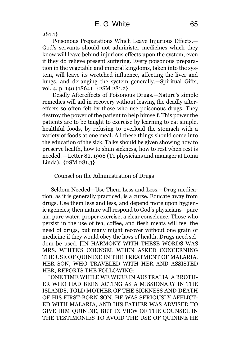281.1}

Poisonous Preparations Which Leave Injurious Effects.— God's servants should not administer medicines which they know will leave behind injurious effects upon the system, even if they do relieve present suffering. Every poisonous preparation in the vegetable and mineral kingdoms, taken into the system, will leave its wretched influence, affecting the liver and lungs, and deranging the system generally.—Spiritual Gifts, vol. 4, p. 140 (1864). {2SM 281.2}

Deadly Aftereffects of Poisonous Drugs.—Nature's simple remedies will aid in recovery without leaving the deadly aftereffects so often felt by those who use poisonous drugs. They destroy the power of the patient to help himself. This power the patients are to be taught to exercise by learning to eat simple, healthful foods, by refusing to overload the stomach with a variety of foods at one meal. All these things should come into the education of the sick. Talks should be given showing how to preserve health, how to shun sickness, how to rest when rest is needed. —Letter 82, 1908 (To physicians and manager at Loma Linda). {2SM 281.3}

Counsel on the Administration of Drugs

Seldom Needed—Use Them Less and Less.—Drug medication, as it is generally practiced, is a curse. Educate away from drugs. Use them less and less, and depend more upon hygienic agencies; then nature will respond to God's physicians—pure air, pure water, proper exercise, a clear conscience. Those who persist in the use of tea, coffee, and flesh meats will feel the need of drugs, but many might recover without one grain of medicine if they would obey the laws of health. Drugs need seldom be used. [IN HARMONY WITH THESE WORDS WAS MRS. WHITE'S COUNSEL WHEN ASKED CONCERNING THE USE OF QUININE IN THE TREATMENT OF MALARIA. HER SON, WHO TRAVELED WITH HER AND ASSISTED HER, REPORTS THE FOLLOWING:

"ONE TIME WHILE WE WERE IN AUSTRALIA, A BROTH-ER WHO HAD BEEN ACTING AS A MISSIONARY IN THE ISLANDS, TOLD MOTHER OF THE SICKNESS AND DEATH OF HIS FIRST-BORN SON. HE WAS SERIOUSLY AFFLICT-ED WITH MALARIA, AND HIS FATHER WAS ADVISED TO GIVE HIM QUININE, BUT IN VIEW OF THE COUNSEL IN THE TESTIMONIES TO AVOID THE USE OF QUININE HE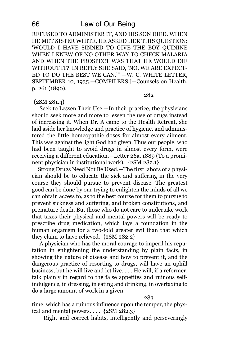REFUSED TO ADMINISTER IT, AND HIS SON DIED. WHEN HE MET SISTER WHITE, HE ASKED HER THIS QUESTION: 'WOULD I HAVE SINNED TO GIVE THE BOY QUININE WHEN I KNEW OF NO OTHER WAY TO CHECK MALARIA AND WHEN THE PROSPECT WAS THAT HE WOULD DIE WITHOUT IT?' IN REPLY SHE SAID, 'NO, WE ARE EXPECT-ED TO DO THE BEST WE CAN.'" —W. C. WHITE LETTER, SEPTEMBER 10, 1935.—COMPILERS.]—Counsels on Health, p. 261 (1890).

{2SM 281.4}

Seek to Lessen Their Use.—In their practice, the physicians should seek more and more to lessen the use of drugs instead of increasing it. When Dr. A came to the Health Retreat, she laid aside her knowledge and practice of hygiene, and administered the little homeopathic doses for almost every ailment. This was against the light God had given. Thus our people, who had been taught to avoid drugs in almost every form, were receiving a different education.—Letter 26a, 1889 (To a prominent physician in institutional work). {2SM 282.1}

Strong Drugs Need Not Be Used.—The first labors of a physician should be to educate the sick and suffering in the very course they should pursue to prevent disease. The greatest good can be done by our trying to enlighten the minds of all we can obtain access to, as to the best course for them to pursue to prevent sickness and suffering, and broken constitutions, and premature death. But those who do not care to undertake work that taxes their physical and mental powers will be ready to prescribe drug medication, which lays a foundation in the human organism for a two-fold greater evil than that which they claim to have relieved. {2SM 282.2}

A physician who has the moral courage to imperil his reputation in enlightening the understanding by plain facts, in showing the nature of disease and how to prevent it, and the dangerous practice of resorting to drugs, will have an uphill business, but he will live and let live. . . . He will, if a reformer, talk plainly in regard to the false appetites and ruinous selfindulgence, in dressing, in eating and drinking, in overtaxing to do a large amount of work in a given

283

282

time, which has a ruinous influence upon the temper, the physical and mental powers. . . .  ${2SM 282.3}$ 

Right and correct habits, intelligently and perseveringly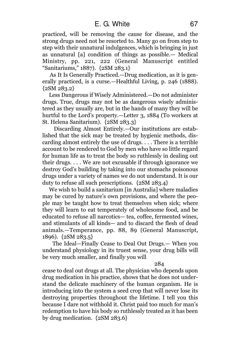practiced, will be removing the cause for disease, and the strong drugs need not be resorted to. Many go on from step to step with their unnatural indulgences, which is bringing in just as unnatural [a] condition of things as possible.— Medical Ministry, pp. 221, 222 (General Manuscript entitled "Sanitariums," 1887). {2SM 283.1}

As It Is Generally Practiced.—Drug medication, as it is generally practiced, is a curse.—Healthful Living, p. 246 (1888).  ${2SM 283.2}$ 

Less Dangerous if Wisely Administered.—Do not administer drugs. True, drugs may not be as dangerous wisely administered as they usually are, but in the hands of many they will be hurtful to the Lord's property.—Letter 3, 1884 (To workers at St. Helena Sanitarium). {2SM 283.3}

Discarding Almost Entirely.—Our institutions are established that the sick may be treated by hygienic methods, discarding almost entirely the use of drugs. . . . There is a terrible account to be rendered to God by men who have so little regard for human life as to treat the body so ruthlessly in dealing out their drugs. . . . We are not excusable if through ignorance we destroy God's building by taking into our stomachs poisonous drugs under a variety of names we do not understand. It is our duty to refuse all such prescriptions. {2SM 283.4}

We wish to build a sanitarium [in Australia] where maladies may be cured by nature's own provisions, and where the people may be taught how to treat themselves when sick; where they will learn to eat temperately of wholesome food, and be educated to refuse all narcotics— tea, coffee, fermented wines, and stimulants of all kinds— and to discard the flesh of dead animals.—Temperance, pp. 88, 89 (General Manuscript, 1896). {2SM 283.5}

The Ideal—Finally Cease to Deal Out Drugs.— When you understand physiology in its truest sense, your drug bills will be very much smaller, and finally you will

284

cease to deal out drugs at all. The physician who depends upon drug medication in his practice, shows that he does not understand the delicate machinery of the human organism. He is introducing into the system a seed crop that will never lose its destroying properties throughout the lifetime. I tell you this because I dare not withhold it. Christ paid too much for man's redemption to have his body so ruthlessly treated as it has been by drug medication. {2SM 283.6}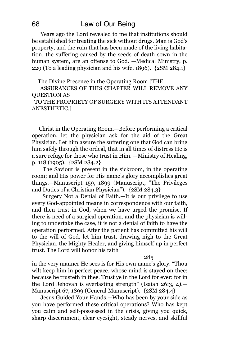Years ago the Lord revealed to me that institutions should be established for treating the sick without drugs. Man is God's property, and the ruin that has been made of the living habitation, the suffering caused by the seeds of death sown in the human system, are an offense to God. —Medical Ministry, p. 229 (To a leading physician and his wife, 1896). {2SM 284.1}

The Divine Presence in the Operating Room [THE

ASSURANCES OF THIS CHAPTER WILL REMOVE ANY QUESTION AS

TO THE PROPRIETY OF SURGERY WITH ITS ATTENDANT ANESTHETIC.]

Christ in the Operating Room.—Before performing a critical operation, let the physician ask for the aid of the Great Physician. Let him assure the suffering one that God can bring him safely through the ordeal, that in all times of distress He is a sure refuge for those who trust in Him. —Ministry of Healing, p. 118 (1905). {2SM 284.2}

The Saviour is present in the sickroom, in the operating room; and His power for His name's glory accomplishes great things.—Manuscript 159, 1899 (Manuscript, "The Privileges and Duties of a Christian Physician"). {2SM 284.3}

Surgery Not a Denial of Faith.—It is our privilege to use every God-appointed means in correspondence with our faith, and then trust in God, when we have urged the promise. If there is need of a surgical operation, and the physician is willing to undertake the case, it is not a denial of faith to have the operation performed. After the patient has committed his will to the will of God, let him trust, drawing nigh to the Great Physician, the Mighty Healer, and giving himself up in perfect trust. The Lord will honor his faith

285

in the very manner He sees is for His own name's glory. "Thou wilt keep him in perfect peace, whose mind is stayed on thee: because he trusteth in thee. Trust ye in the Lord for ever: for in the Lord Jehovah is everlasting strength" (Isaiah 26:3, 4).— Manuscript 67, 1899 (General Manuscript). {2SM 284.4}

Jesus Guided Your Hands.—Who has been by your side as you have performed these critical operations? Who has kept you calm and self-possessed in the crisis, giving you quick, sharp discernment, clear eyesight, steady nerves, and skillful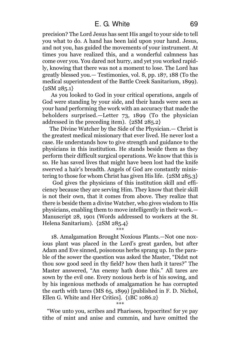precision? The Lord Jesus has sent His angel to your side to tell you what to do. A hand has been laid upon your hand. Jesus, and not you, has guided the movements of your instrument. At times you have realized this, and a wonderful calmness has come over you. You dared not hurry, and yet you worked rapidly, knowing that there was not a moment to lose. The Lord has greatly blessed you.— Testimonies, vol. 8, pp. 187, 188 (To the medical superintendent of the Battle Creek Sanitarium, 1899).  ${2SM 285.1}$ 

As you looked to God in your critical operations, angels of God were standing by your side, and their hands were seen as your hand performing the work with an accuracy that made the beholders surprised.—Letter 73, 1899 (To the physician addressed in the preceding item). {2SM 285.2}

The Divine Watcher by the Side of the Physician.— Christ is the greatest medical missionary that ever lived. He never lost a case. He understands how to give strength and guidance to the physicians in this institution. He stands beside them as they perform their difficult surgical operations. We know that this is so. He has saved lives that might have been lost had the knife swerved a hair's breadth. Angels of God are constantly ministering to those for whom Christ has given His life. {2SM 285.3}

God gives the physicians of this institution skill and efficiency because they are serving Him. They know that their skill is not their own, that it comes from above. They realize that there is beside them a divine Watcher, who gives wisdom to His physicians, enabling them to move intelligently in their work.— Manuscript 28, 1901 (Words addressed to workers at the St. Helena Sanitarium). {2SM 285.4}

\*\*\*

18. Amalgamation Brought Noxious Plants.—Not one noxious plant was placed in the Lord's great garden, but after Adam and Eve sinned, poisonous herbs sprang up. In the parable of the sower the question was asked the Master, "Didst not thou sow good seed in thy field? how then hath it tares?" The Master answered, "An enemy hath done this." All tares are sown by the evil one. Every noxious herb is of his sowing, and by his ingenious methods of amalgamation he has corrupted the earth with tares (MS 65, 1899) [published in F. D. Nichol, Ellen G. White and Her Critics]. {1BC 1086.2}

\*\*\*

"Woe unto you, scribes and Pharisees, hypocrites! for ye pay tithe of mint and anise and cummin, and have omitted the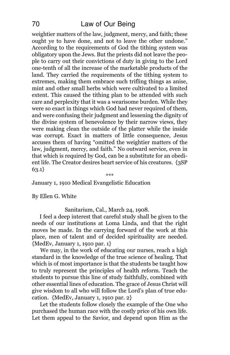# 70 Law of Our Being

weightier matters of the law, judgment, mercy, and faith; these ought ye to have done, and not to leave the other undone." According to the requirements of God the tithing system was obligatory upon the Jews. But the priests did not leave the people to carry out their convictions of duty in giving to the Lord one-tenth of all the increase of the marketable products of the land. They carried the requirements of the tithing system to extremes, making them embrace such trifling things as anise, mint and other small herbs which were cultivated to a limited extent. This caused the tithing plan to be attended with such care and perplexity that it was a wearisome burden. While they were so exact in things which God had never required of them, and were confusing their judgment and lessening the dignity of the divine system of benevolence by their narrow views, they were making clean the outside of the platter while the inside was corrupt. Exact in matters of little consequence, Jesus accuses them of having "omitted the weightier matters of the law, judgment, mercy, and faith." No outward service, even in that which is required by God, can be a substitute for an obedient life. The Creator desires heart service of his creatures. {3SP 63.1} \*\*\*

January 1, 1910 Medical Evangelistic Education

By Ellen G. White

Sanitarium, Cal., March 24, 1908.

I feel a deep interest that careful study shall be given to the needs of our institutions at Loma Linda, and that the right moves be made. In the carrying forward of the work at this place, men of talent and of decided spirituality are needed. {MedEv, January 1, 1910 par. 1}

We may, in the work of educating our nurses, reach a high standard in the knowledge of the true science of healing. That which is of most importance is that the students be taught how to truly represent the principles of health reform. Teach the students to pursue this line of study faithfully, combined with other essential lines of education. The grace of Jesus Christ will give wisdom to all who will follow the Lord's plan of true education. {MedEv, January 1, 1910 par. 2}

Let the students follow closely the example of the One who purchased the human race with the costly price of his own life. Let them appeal to the Savior, and depend upon Him as the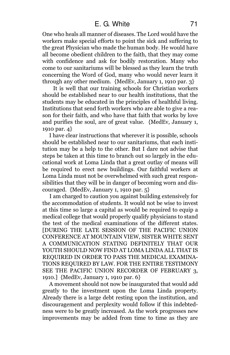One who heals all manner of diseases. The Lord would have the workers make special efforts to point the sick and suffering to the great Physician who made the human body. He would have all become obedient children to the faith, that they may come with confidence and ask for bodily restoration. Many who come to our sanitariums will be blessed as they learn the truth concerning the Word of God, many who would never learn it through any other medium. {MedEv, January 1, 1910 par. 3}

It is well that our training schools for Christian workers should be established near to our health institutions, that the students may be educated in the principles of healthful living. Institutions that send forth workers who are able to give a reason for their faith, and who have that faith that works by love and purifies the soul, are of great value. {MedEv, January 1, 1910 par. 4}

I have clear instructions that wherever it is possible, schools should be established near to our sanitariums, that each institution may be a help to the other. But I dare not advise that steps be taken at this time to branch out so largely in the educational work at Loma Linda that a great outlay of means will be required to erect new buildings. Our faithful workers at Loma Linda must not be overwhelmed with such great responsibilities that they will be in danger of becoming worn and discouraged. {MedEv, January 1, 1910 par. 5}

I am charged to caution you against building extensively for the accommodation of students. It would not be wise to invest at this time so large a capital as would be required to equip a medical college that would properly qualify physicians to stand the test of the medical examinations of the different states. [DURING THE LATE SESSION OF THE PACIFIC UNION CONFERENCE AT MOUNTAIN VIEW, SISTER WHITE SENT A COMMUNICATION STATING DEFINITELY THAT OUR YOUTH SHOULD NOW FIND AT LOMA LINDA ALL THAT IS REQUIRED IN ORDER TO PASS THE MEDICAL EXAMINA-TIONS REQUIRED BY LAW. FOR THE ENTIRE TESTIMONY SEE THE PACIFIC UNION RECORDER OF FEBRUARY 3, 1910.] {MedEv, January 1, 1910 par. 6}

A movement should not now be inaugurated that would add greatly to the investment upon the Loma Linda property. Already there is a large debt resting upon the institution, and discouragement and perplexity would follow if this indebtedness were to be greatly increased. As the work progresses new improvements may be added from time to time as they are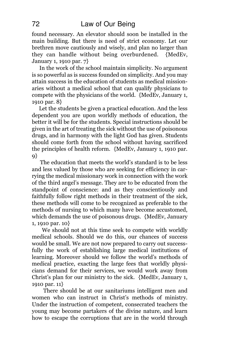found necessary. An elevator should soon be installed in the main building. But there is need of strict economy. Let our brethren move cautiously and wisely, and plan no larger than they can handle without being overburdened. {MedEv, January 1, 1910 par. 7}

In the work of the school maintain simplicity. No argument is so powerful as is success founded on simplicity. And you may attain success in the education of students as medical missionaries without a medical school that can qualify physicians to compete with the physicians of the world. {MedEv, January 1, 1910 par. 8}

Let the students be given a practical education. And the less dependent you are upon worldly methods of education, the better it will be for the students. Special instructions should be given in the art of treating the sick without the use of poisonous drugs, and in harmony with the light God has given. Students should come forth from the school without having sacrificed the principles of health reform. {MedEv, January 1, 1910 par.  $9$ }

The education that meets the world's standard is to be less and less valued by those who are seeking for efficiency in carrying the medical missionary work in connection with the work of the third angel's message. They are to be educated from the standpoint of conscience: and as they conscientiously and faithfully follow right methods in their treatment of the sick, these methods will come to be recognized as preferable to the methods of nursing to which many have become accustomed, which demands the use of poisonous drugs. {MedEv, January 1, 1910 par. 10}

We should not at this time seek to compete with worldly medical schools. Should we do this, our chances of success would be small. We are not now prepared to carry out successfully the work of establishing large medical institutions of learning. Moreover should we follow the world's methods of medical practice, exacting the large fees that worldly physicians demand for their services, we would work away from Christ's plan for our ministry to the sick. {MedEv, January 1, 1910 par. 11}

There should be at our sanitariums intelligent men and women who can instruct in Christ's methods of ministry. Under the instruction of competent, consecrated teachers the young may become partakers of the divine nature, and learn how to escape the corruptions that are in the world through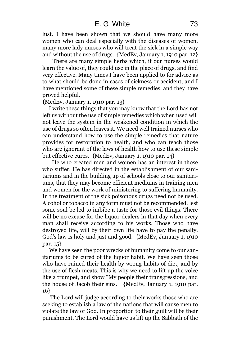lust. I have been shown that we should have many more women who can deal especially with the diseases of women, many more lady nurses who will treat the sick in a simple way and without the use of drugs. {MedEv, January 1, 1910 par. 12}

There are many simple herbs which, if our nurses would learn the value of, they could use in the place of drugs, and find very effective. Many times I have been applied to for advice as to what should be done in cases of sickness or accident, and I have mentioned some of these simple remedies, and they have proved helpful.

{MedEv, January 1, 1910 par. 13}

I write these things that you may know that the Lord has not left us without the use of simple remedies which when used will not leave the system in the weakened condition in which the use of drugs so often leaves it. We need well trained nurses who can understand how to use the simple remedies that nature provides for restoration to health, and who can teach those who are ignorant of the laws of health how to use these simple but effective cures. {MedEv, January 1, 1910 par. 14}

He who created men and women has an interest in those who suffer. He has directed in the establishment of our sanitariums and in the building up of schools close to our sanitariums, that they may become efficient mediums in training men and women for the work of ministering to suffering humanity. In the treatment of the sick poisonous drugs need not be used. Alcohol or tobacco in any form must not be recommended, lest some soul be led to imbibe a taste for those evil things. There will be no excuse for the liquor-dealers in that day when every man shall receive according to his works. Those who have destroyed life, will by their own life have to pay the penalty. God's law is holy and just and good. {MedEv, January 1, 1910 par. 15}

We have seen the poor wrecks of humanity come to our sanitariums to be cured of the liquor habit. We have seen those who have ruined their health by wrong habits of diet, and by the use of flesh meats. This is why we need to lift up the voice like a trumpet, and show "My people their transgressions, and the house of Jacob their sins." {MedEv, January 1, 1910 par. 16}

The Lord will judge according to their works those who are seeking to establish a law of the nations that will cause men to violate the law of God. In proportion to their guilt will be their punishment. The Lord would have us lift up the Sabbath of the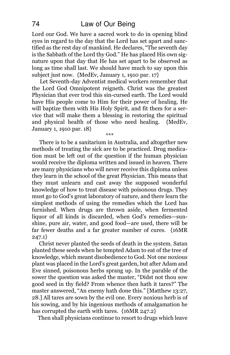Lord our God. We have a sacred work to do in opening blind eyes in regard to the day that the Lord has set apart and sanctified as the rest day of mankind. He declares, "The seventh day is the Sabbath of the Lord thy God." He has placed His own signature upon that day that He has set apart to be observed as long as time shall last. We should have much to say upon this subject just now. {MedEv, January 1, 1910 par. 17}

Let Seventh-day Adventist medical workers remember that the Lord God Omnipotent reigneth. Christ was the greatest Physician that ever trod this sin-cursed earth. The Lord would have His people come to Him for their power of healing. He will baptize them with His Holy Spirit, and fit them for a service that will make them a blessing in restoring the spiritual and physical health of those who need healing. {MedEv, January 1, 1910 par. 18} \*\*\*

There is to be a sanitarium in Australia, and altogether new methods of treating the sick are to be practiced. Drug medication must be left out of the question if the human physician would receive the diploma written and issued in heaven. There are many physicians who will never receive this diploma unless they learn in the school of the great Physician. This means that they must unlearn and cast away the supposed wonderful knowledge of how to treat disease with poisonous drugs. They must go to God's great laboratory of nature, and there learn the simplest methods of using the remedies which the Lord has furnished. When drugs are thrown aside, when fermented liquor of all kinds is discarded, when God's remedies—sunshine, pure air, water, and good food—are used, there will be far fewer deaths and a far greater number of cures. {16MR  $247.1$ 

Christ never planted the seeds of death in the system. Satan planted these seeds when he tempted Adam to eat of the tree of knowledge, which meant disobedience to God. Not one noxious plant was placed in the Lord's great garden, but after Adam and Eve sinned, poisonous herbs sprang up. In the parable of the sower the question was asked the master, "Didst not thou sow good seed in thy field? From whence then hath it tares?" The master answered, "An enemy hath done this." [Matthew 13:27, 28.] All tares are sown by the evil one. Every noxious herb is of his sowing, and by his ingenious methods of amalgamation he has corrupted the earth with tares. {16MR 247.2}

Then shall physicians continue to resort to drugs which leave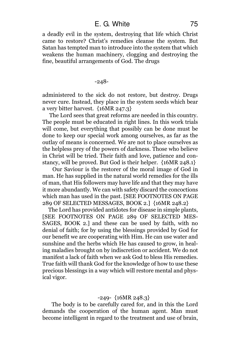a deadly evil in the system, destroying that life which Christ came to restore? Christ's remedies cleanse the system. But Satan has tempted man to introduce into the system that which weakens the human machinery, clogging and destroying the fine, beautiful arrangements of God. The drugs

-248-

administered to the sick do not restore, but destroy. Drugs never cure. Instead, they place in the system seeds which bear a very bitter harvest. {16MR 247.3}

The Lord sees that great reforms are needed in this country. The people must be educated in right lines. In this work trials will come, but everything that possibly can be done must be done to keep our special work among ourselves, as far as the outlay of means is concerned. We are not to place ourselves as the helpless prey of the powers of darkness. Those who believe in Christ will be tried. Their faith and love, patience and constancy, will be proved. But God is their helper. {16MR 248.1}

Our Saviour is the restorer of the moral image of God in man. He has supplied in the natural world remedies for the ills of man, that His followers may have life and that they may have it more abundantly. We can with safety discard the concoctions which man has used in the past. [SEE FOOTNOTES ON PAGE 289 OF SELECTED MESSAGES, BOOK 2.] {16MR 248.2}

The Lord has provided antidotes for disease in simple plants, [SEE FOOTNOTES ON PAGE 289 OF SELECTED MES-SAGES, BOOK 2.] and these can be used by faith, with no denial of faith; for by using the blessings provided by God for our benefit we are cooperating with Him. He can use water and sunshine and the herbs which He has caused to grow, in healing maladies brought on by indiscretion or accident. We do not manifest a lack of faith when we ask God to bless His remedies. True faith will thank God for the knowledge of how to use these precious blessings in a way which will restore mental and physical vigor.

## -249- {16MR 248.3}

The body is to be carefully cared for, and in this the Lord demands the cooperation of the human agent. Man must become intelligent in regard to the treatment and use of brain,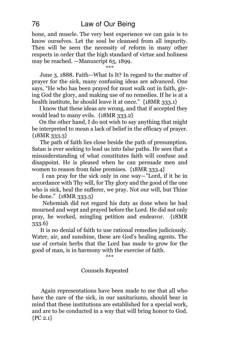bone, and muscle. The very best experience we can gain is to know ourselves. Let the soul be cleansed from all impurity. Then will be seen the necessity of reform in many other respects in order that the high standard of virtue and holiness may be reached. —Manuscript 65, 1899.

\*\*\*

June 3, 1888. Faith—What Is It? In regard to the matter of prayer for the sick, many confusing ideas are advanced. One says, "He who has been prayed for must walk out in faith, giving God the glory, and making use of no remedies. If he is at a health institute, he should leave it at once." {18MR 333.1}

I know that these ideas are wrong, and that if accepted they would lead to many evils. {18MR 333.2}

On the other hand, I do not wish to say anything that might be interpreted to mean a lack of belief in the efficacy of prayer. {18MR 333.3}

The path of faith lies close beside the path of presumption. Satan is ever seeking to lead us into false paths. He sees that a misunderstanding of what constitutes faith will confuse and disappoint. He is pleased when he can persuade men and women to reason from false premises. {18MR 333.4}

I can pray for the sick only in one way—"Lord, if it be in accordance with Thy will, for Thy glory and the good of the one who is sick, heal the sufferer, we pray. Not our will, but Thine be done." {18MR 333.5}

Nehemiah did not regard his duty as done when he had mourned and wept and prayed before the Lord. He did not only pray, he worked, mingling petition and endeavor. {18MR 333.6}

It is no denial of faith to use rational remedies judiciously. Water, air, and sunshine, these are God's healing agents. The use of certain herbs that the Lord has made to grow for the good of man, is in harmony with the exercise of faith.

\*\*\*

## Counsels Repeated

Again representations have been made to me that all who have the care of the sick, in our sanitariums, should bear in mind that these institutions are established for a special work, and are to be conducted in a way that will bring honor to God.  ${PC 2.1}$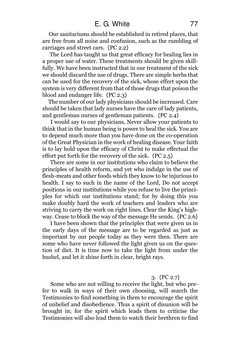Our sanitariums should be established in retired places, that are free from all noise and confusion, such as the rumbling of carriages and street cars. {PC 2.2}

The Lord has taught us that great efficacy for healing lies in a proper use of water. These treatments should be given skillfully. We have been instructed that in our treatment of the sick we should discard the use of drugs. There are simple herbs that can be used for the recovery of the sick, whose effect upon the system is very different from that of those drugs that poison the blood and endanger life. {PC 2.3}

The number of our lady physicians should be increased. Care should be taken that lady nurses have the care of lady patients, and gentleman nurses of gentleman patients. {PC 2.4}

I would say to our physicians, Never allow your patients to think that in the human being is power to heal the sick. You are to depend much more than you have done on the co-operation of the Great Physician in the work of healing disease. Your faith is to lay hold upon the efficacy of Christ to make effectual the effort put forth for the recovery of the sick. {PC 2.5}

There are some in our institutions who claim to believe the principles of health reform, and yet who indulge in the use of flesh-meats and other foods which they know to be injurious to health. I say to such in the name of the Lord, Do not accept positions in our institutions while you refuse to live the principles for which our institutions stand; for by doing this you make doubly hard the work of teachers and leaders who are striving to carry the work on right lines. Clear the King's highway. Cease to block the way of the message He sends. {PC 2.6}

I have been shown that the principles that were given us in the early days of the message are to be regarded as just as important by our people today as they were then. There are some who have never followed the light given us on the question of diet. It is time now to take the light from under the bushel, and let it shine forth in clear, bright rays.

## 3. {PC 2.7}

Some who are not willing to receive the light, but who prefer to walk in ways of their own choosing, will search the Testimonies to find something in them to encourage the spirit of unbelief and disobedience. Thus a spirit of disunion will be brought in; for the spirit which leads them to criticise the Testimonies will also lead them to watch their brethren to find